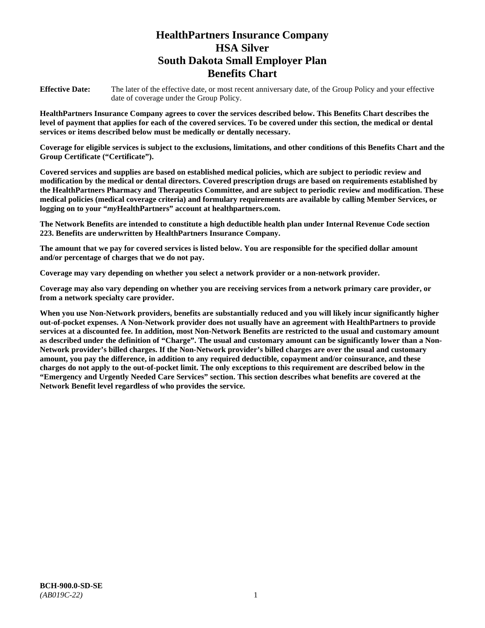# **HealthPartners Insurance Company HSA Silver South Dakota Small Employer Plan Benefits Chart**

**Effective Date:** The later of the effective date, or most recent anniversary date, of the Group Policy and your effective date of coverage under the Group Policy.

**HealthPartners Insurance Company agrees to cover the services described below. This Benefits Chart describes the level of payment that applies for each of the covered services. To be covered under this section, the medical or dental services or items described below must be medically or dentally necessary.**

**Coverage for eligible services is subject to the exclusions, limitations, and other conditions of this Benefits Chart and the Group Certificate ("Certificate").**

**Covered services and supplies are based on established medical policies, which are subject to periodic review and modification by the medical or dental directors. Covered prescription drugs are based on requirements established by the HealthPartners Pharmacy and Therapeutics Committee, and are subject to periodic review and modification. These medical policies (medical coverage criteria) and formulary requirements are available by calling Member Services, or logging on to your "***my***HealthPartners" account at [healthpartners.com.](file://isntmacsrv0/www.healthpartners.com)**

**The Network Benefits are intended to constitute a high deductible health plan under Internal Revenue Code section 223. Benefits are underwritten by HealthPartners Insurance Company.**

**The amount that we pay for covered services is listed below. You are responsible for the specified dollar amount and/or percentage of charges that we do not pay.**

**Coverage may vary depending on whether you select a network provider or a non-network provider.**

**Coverage may also vary depending on whether you are receiving services from a network primary care provider, or from a network specialty care provider.**

**When you use Non-Network providers, benefits are substantially reduced and you will likely incur significantly higher out-of-pocket expenses. A Non-Network provider does not usually have an agreement with HealthPartners to provide services at a discounted fee. In addition, most Non-Network Benefits are restricted to the usual and customary amount as described under the definition of "Charge". The usual and customary amount can be significantly lower than a Non-Network provider's billed charges. If the Non-Network provider's billed charges are over the usual and customary amount, you pay the difference, in addition to any required deductible, copayment and/or coinsurance, and these charges do not apply to the out-of-pocket limit. The only exceptions to this requirement are described below in the "Emergency and Urgently Needed Care Services" section. This section describes what benefits are covered at the Network Benefit level regardless of who provides the service.**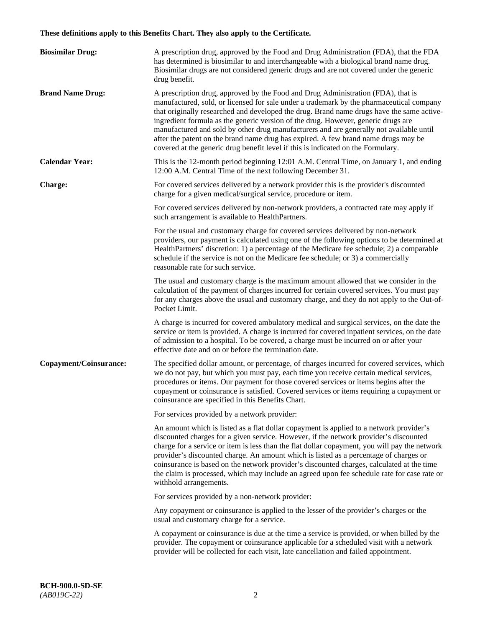# **These definitions apply to this Benefits Chart. They also apply to the Certificate.**

| <b>Biosimilar Drug:</b> | A prescription drug, approved by the Food and Drug Administration (FDA), that the FDA<br>has determined is biosimilar to and interchangeable with a biological brand name drug.<br>Biosimilar drugs are not considered generic drugs and are not covered under the generic<br>drug benefit.                                                                                                                                                                                                                                                                                                                                         |
|-------------------------|-------------------------------------------------------------------------------------------------------------------------------------------------------------------------------------------------------------------------------------------------------------------------------------------------------------------------------------------------------------------------------------------------------------------------------------------------------------------------------------------------------------------------------------------------------------------------------------------------------------------------------------|
| <b>Brand Name Drug:</b> | A prescription drug, approved by the Food and Drug Administration (FDA), that is<br>manufactured, sold, or licensed for sale under a trademark by the pharmaceutical company<br>that originally researched and developed the drug. Brand name drugs have the same active-<br>ingredient formula as the generic version of the drug. However, generic drugs are<br>manufactured and sold by other drug manufacturers and are generally not available until<br>after the patent on the brand name drug has expired. A few brand name drugs may be<br>covered at the generic drug benefit level if this is indicated on the Formulary. |
| <b>Calendar Year:</b>   | This is the 12-month period beginning 12:01 A.M. Central Time, on January 1, and ending<br>12:00 A.M. Central Time of the next following December 31.                                                                                                                                                                                                                                                                                                                                                                                                                                                                               |
| <b>Charge:</b>          | For covered services delivered by a network provider this is the provider's discounted<br>charge for a given medical/surgical service, procedure or item.                                                                                                                                                                                                                                                                                                                                                                                                                                                                           |
|                         | For covered services delivered by non-network providers, a contracted rate may apply if<br>such arrangement is available to HealthPartners.                                                                                                                                                                                                                                                                                                                                                                                                                                                                                         |
|                         | For the usual and customary charge for covered services delivered by non-network<br>providers, our payment is calculated using one of the following options to be determined at<br>HealthPartners' discretion: 1) a percentage of the Medicare fee schedule; 2) a comparable<br>schedule if the service is not on the Medicare fee schedule; or 3) a commercially<br>reasonable rate for such service.                                                                                                                                                                                                                              |
|                         | The usual and customary charge is the maximum amount allowed that we consider in the<br>calculation of the payment of charges incurred for certain covered services. You must pay<br>for any charges above the usual and customary charge, and they do not apply to the Out-of-<br>Pocket Limit.                                                                                                                                                                                                                                                                                                                                    |
|                         | A charge is incurred for covered ambulatory medical and surgical services, on the date the<br>service or item is provided. A charge is incurred for covered inpatient services, on the date<br>of admission to a hospital. To be covered, a charge must be incurred on or after your<br>effective date and on or before the termination date.                                                                                                                                                                                                                                                                                       |
| Copayment/Coinsurance:  | The specified dollar amount, or percentage, of charges incurred for covered services, which<br>we do not pay, but which you must pay, each time you receive certain medical services,<br>procedures or items. Our payment for those covered services or items begins after the<br>copayment or coinsurance is satisfied. Covered services or items requiring a copayment or<br>coinsurance are specified in this Benefits Chart.                                                                                                                                                                                                    |
|                         | For services provided by a network provider:                                                                                                                                                                                                                                                                                                                                                                                                                                                                                                                                                                                        |
|                         | An amount which is listed as a flat dollar copayment is applied to a network provider's<br>discounted charges for a given service. However, if the network provider's discounted<br>charge for a service or item is less than the flat dollar copayment, you will pay the network<br>provider's discounted charge. An amount which is listed as a percentage of charges or<br>coinsurance is based on the network provider's discounted charges, calculated at the time<br>the claim is processed, which may include an agreed upon fee schedule rate for case rate or<br>withhold arrangements.                                    |
|                         | For services provided by a non-network provider:                                                                                                                                                                                                                                                                                                                                                                                                                                                                                                                                                                                    |
|                         | Any copayment or coinsurance is applied to the lesser of the provider's charges or the<br>usual and customary charge for a service.                                                                                                                                                                                                                                                                                                                                                                                                                                                                                                 |
|                         | A copayment or coinsurance is due at the time a service is provided, or when billed by the<br>provider. The copayment or coinsurance applicable for a scheduled visit with a network<br>provider will be collected for each visit, late cancellation and failed appointment.                                                                                                                                                                                                                                                                                                                                                        |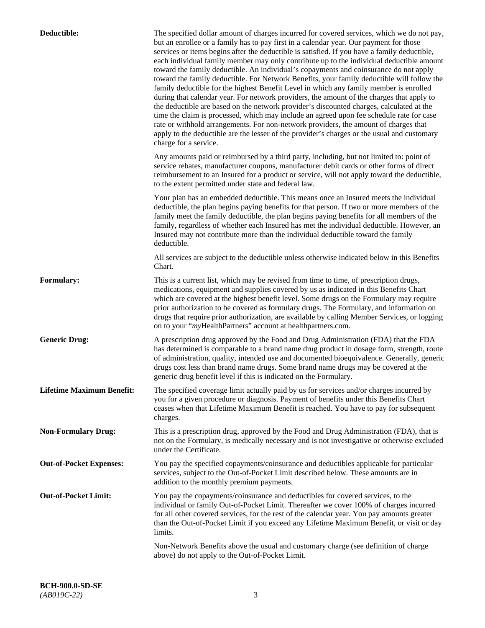| Deductible:                      | The specified dollar amount of charges incurred for covered services, which we do not pay,<br>but an enrollee or a family has to pay first in a calendar year. Our payment for those<br>services or items begins after the deductible is satisfied. If you have a family deductible,<br>each individual family member may only contribute up to the individual deductible amount<br>toward the family deductible. An individual's copayments and coinsurance do not apply<br>toward the family deductible. For Network Benefits, your family deductible will follow the<br>family deductible for the highest Benefit Level in which any family member is enrolled<br>during that calendar year. For network providers, the amount of the charges that apply to<br>the deductible are based on the network provider's discounted charges, calculated at the<br>time the claim is processed, which may include an agreed upon fee schedule rate for case<br>rate or withhold arrangements. For non-network providers, the amount of charges that<br>apply to the deductible are the lesser of the provider's charges or the usual and customary<br>charge for a service. |
|----------------------------------|------------------------------------------------------------------------------------------------------------------------------------------------------------------------------------------------------------------------------------------------------------------------------------------------------------------------------------------------------------------------------------------------------------------------------------------------------------------------------------------------------------------------------------------------------------------------------------------------------------------------------------------------------------------------------------------------------------------------------------------------------------------------------------------------------------------------------------------------------------------------------------------------------------------------------------------------------------------------------------------------------------------------------------------------------------------------------------------------------------------------------------------------------------------------|
|                                  | Any amounts paid or reimbursed by a third party, including, but not limited to: point of<br>service rebates, manufacturer coupons, manufacturer debit cards or other forms of direct<br>reimbursement to an Insured for a product or service, will not apply toward the deductible,<br>to the extent permitted under state and federal law.                                                                                                                                                                                                                                                                                                                                                                                                                                                                                                                                                                                                                                                                                                                                                                                                                            |
|                                  | Your plan has an embedded deductible. This means once an Insured meets the individual<br>deductible, the plan begins paying benefits for that person. If two or more members of the<br>family meet the family deductible, the plan begins paying benefits for all members of the<br>family, regardless of whether each Insured has met the individual deductible. However, an<br>Insured may not contribute more than the individual deductible toward the family<br>deductible.                                                                                                                                                                                                                                                                                                                                                                                                                                                                                                                                                                                                                                                                                       |
|                                  | All services are subject to the deductible unless otherwise indicated below in this Benefits<br>Chart.                                                                                                                                                                                                                                                                                                                                                                                                                                                                                                                                                                                                                                                                                                                                                                                                                                                                                                                                                                                                                                                                 |
| <b>Formulary:</b>                | This is a current list, which may be revised from time to time, of prescription drugs,<br>medications, equipment and supplies covered by us as indicated in this Benefits Chart<br>which are covered at the highest benefit level. Some drugs on the Formulary may require<br>prior authorization to be covered as formulary drugs. The Formulary, and information on<br>drugs that require prior authorization, are available by calling Member Services, or logging<br>on to your "myHealthPartners" account at healthpartners.com.                                                                                                                                                                                                                                                                                                                                                                                                                                                                                                                                                                                                                                  |
| <b>Generic Drug:</b>             | A prescription drug approved by the Food and Drug Administration (FDA) that the FDA<br>has determined is comparable to a brand name drug product in dosage form, strength, route<br>of administration, quality, intended use and documented bioequivalence. Generally, generic<br>drugs cost less than brand name drugs. Some brand name drugs may be covered at the<br>generic drug benefit level if this is indicated on the Formulary.                                                                                                                                                                                                                                                                                                                                                                                                                                                                                                                                                                                                                                                                                                                              |
| <b>Lifetime Maximum Benefit:</b> | The specified coverage limit actually paid by us for services and/or charges incurred by<br>you for a given procedure or diagnosis. Payment of benefits under this Benefits Chart<br>ceases when that Lifetime Maximum Benefit is reached. You have to pay for subsequent<br>charges.                                                                                                                                                                                                                                                                                                                                                                                                                                                                                                                                                                                                                                                                                                                                                                                                                                                                                  |
| <b>Non-Formulary Drug:</b>       | This is a prescription drug, approved by the Food and Drug Administration (FDA), that is<br>not on the Formulary, is medically necessary and is not investigative or otherwise excluded<br>under the Certificate.                                                                                                                                                                                                                                                                                                                                                                                                                                                                                                                                                                                                                                                                                                                                                                                                                                                                                                                                                      |
| <b>Out-of-Pocket Expenses:</b>   | You pay the specified copayments/coinsurance and deductibles applicable for particular<br>services, subject to the Out-of-Pocket Limit described below. These amounts are in<br>addition to the monthly premium payments.                                                                                                                                                                                                                                                                                                                                                                                                                                                                                                                                                                                                                                                                                                                                                                                                                                                                                                                                              |
| <b>Out-of-Pocket Limit:</b>      | You pay the copayments/coinsurance and deductibles for covered services, to the<br>individual or family Out-of-Pocket Limit. Thereafter we cover 100% of charges incurred<br>for all other covered services, for the rest of the calendar year. You pay amounts greater<br>than the Out-of-Pocket Limit if you exceed any Lifetime Maximum Benefit, or visit or day<br>limits.                                                                                                                                                                                                                                                                                                                                                                                                                                                                                                                                                                                                                                                                                                                                                                                         |
|                                  | Non-Network Benefits above the usual and customary charge (see definition of charge<br>above) do not apply to the Out-of-Pocket Limit.                                                                                                                                                                                                                                                                                                                                                                                                                                                                                                                                                                                                                                                                                                                                                                                                                                                                                                                                                                                                                                 |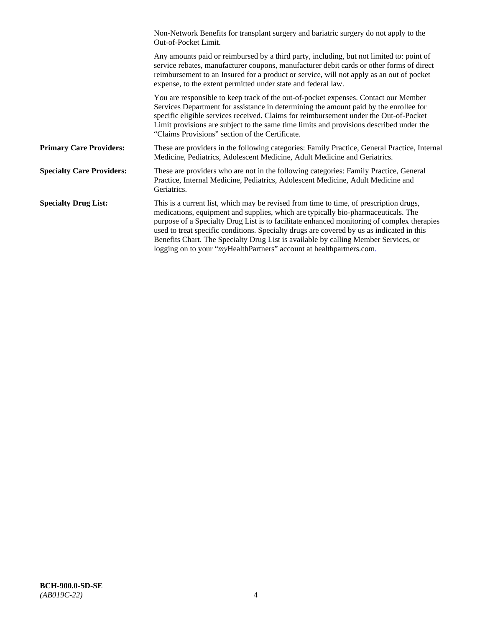|                                  | Non-Network Benefits for transplant surgery and bariatric surgery do not apply to the<br>Out-of-Pocket Limit.                                                                                                                                                                                                                                                                                                                                                                                                                         |
|----------------------------------|---------------------------------------------------------------------------------------------------------------------------------------------------------------------------------------------------------------------------------------------------------------------------------------------------------------------------------------------------------------------------------------------------------------------------------------------------------------------------------------------------------------------------------------|
|                                  | Any amounts paid or reimbursed by a third party, including, but not limited to: point of<br>service rebates, manufacturer coupons, manufacturer debit cards or other forms of direct<br>reimbursement to an Insured for a product or service, will not apply as an out of pocket<br>expense, to the extent permitted under state and federal law.                                                                                                                                                                                     |
|                                  | You are responsible to keep track of the out-of-pocket expenses. Contact our Member<br>Services Department for assistance in determining the amount paid by the enrollee for<br>specific eligible services received. Claims for reimbursement under the Out-of-Pocket<br>Limit provisions are subject to the same time limits and provisions described under the<br>"Claims Provisions" section of the Certificate.                                                                                                                   |
| <b>Primary Care Providers:</b>   | These are providers in the following categories: Family Practice, General Practice, Internal<br>Medicine, Pediatrics, Adolescent Medicine, Adult Medicine and Geriatrics.                                                                                                                                                                                                                                                                                                                                                             |
| <b>Specialty Care Providers:</b> | These are providers who are not in the following categories: Family Practice, General<br>Practice, Internal Medicine, Pediatrics, Adolescent Medicine, Adult Medicine and<br>Geriatrics.                                                                                                                                                                                                                                                                                                                                              |
| <b>Specialty Drug List:</b>      | This is a current list, which may be revised from time to time, of prescription drugs,<br>medications, equipment and supplies, which are typically bio-pharmaceuticals. The<br>purpose of a Specialty Drug List is to facilitate enhanced monitoring of complex therapies<br>used to treat specific conditions. Specialty drugs are covered by us as indicated in this<br>Benefits Chart. The Specialty Drug List is available by calling Member Services, or<br>logging on to your "myHealthPartners" account at healthpartners.com. |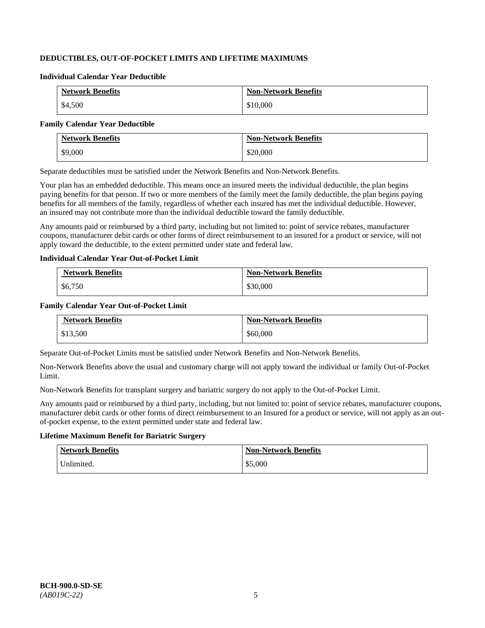## **DEDUCTIBLES, OUT-OF-POCKET LIMITS AND LIFETIME MAXIMUMS**

#### **Individual Calendar Year Deductible**

| <b>Network Benefits</b> | <b>Non-Network Benefits</b> |
|-------------------------|-----------------------------|
| \$4,500                 | \$10,000                    |

#### **Family Calendar Year Deductible**

| <b>Network Benefits</b> | <b>Non-Network Benefits</b> |
|-------------------------|-----------------------------|
| \$9,000                 | \$20,000                    |

Separate deductibles must be satisfied under the Network Benefits and Non-Network Benefits.

Your plan has an embedded deductible. This means once an insured meets the individual deductible, the plan begins paying benefits for that person. If two or more members of the family meet the family deductible, the plan begins paying benefits for all members of the family, regardless of whether each insured has met the individual deductible. However, an insured may not contribute more than the individual deductible toward the family deductible.

Any amounts paid or reimbursed by a third party, including but not limited to: point of service rebates, manufacturer coupons, manufacturer debit cards or other forms of direct reimbursement to an insured for a product or service, will not apply toward the deductible, to the extent permitted under state and federal law.

#### **Individual Calendar Year Out-of-Pocket Limit**

| <b>Network Benefits</b> | <b>Non-Network Benefits</b> |
|-------------------------|-----------------------------|
| \$6,750                 | \$30,000                    |

#### **Family Calendar Year Out-of-Pocket Limit**

| <b>Network Benefits</b> | <b>Non-Network Benefits</b> |
|-------------------------|-----------------------------|
| \$13,500                | \$60,000                    |

Separate Out-of-Pocket Limits must be satisfied under Network Benefits and Non-Network Benefits.

Non-Network Benefits above the usual and customary charge will not apply toward the individual or family Out-of-Pocket Limit.

Non-Network Benefits for transplant surgery and bariatric surgery do not apply to the Out-of-Pocket Limit.

Any amounts paid or reimbursed by a third party, including, but not limited to: point of service rebates, manufacturer coupons, manufacturer debit cards or other forms of direct reimbursement to an Insured for a product or service, will not apply as an outof-pocket expense, to the extent permitted under state and federal law.

## **Lifetime Maximum Benefit for Bariatric Surgery**

| <b>Network Benefits</b> | <b>Non-Network Benefits</b> |
|-------------------------|-----------------------------|
| Unlimited.              | \$5,000                     |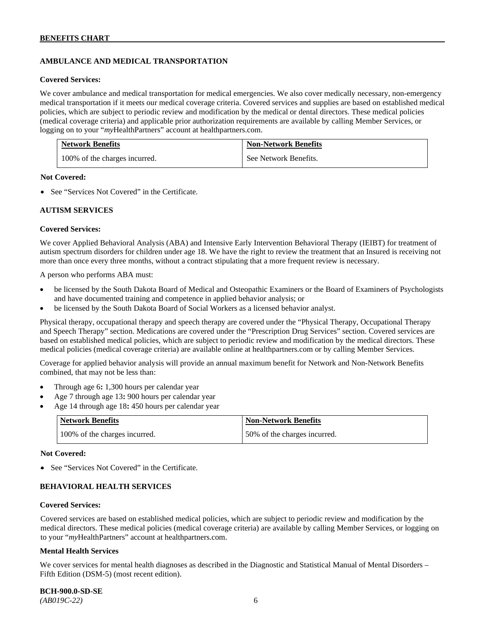## **AMBULANCE AND MEDICAL TRANSPORTATION**

#### **Covered Services:**

We cover ambulance and medical transportation for medical emergencies. We also cover medically necessary, non-emergency medical transportation if it meets our medical coverage criteria. Covered services and supplies are based on established medical policies, which are subject to periodic review and modification by the medical or dental directors. These medical policies (medical coverage criteria) and applicable prior authorization requirements are available by calling Member Services, or logging on to your "*my*HealthPartners" account at [healthpartners.com.](http://healthpartners.com/)

| <b>Network Benefits</b>       | <b>Non-Network Benefits</b> |
|-------------------------------|-----------------------------|
| 100% of the charges incurred. | See Network Benefits.       |

#### **Not Covered:**

• See "Services Not Covered" in the Certificate.

#### **AUTISM SERVICES**

#### **Covered Services:**

We cover Applied Behavioral Analysis (ABA) and Intensive Early Intervention Behavioral Therapy (IEIBT) for treatment of autism spectrum disorders for children under age 18. We have the right to review the treatment that an Insured is receiving not more than once every three months, without a contract stipulating that a more frequent review is necessary.

A person who performs ABA must:

- be licensed by the South Dakota Board of Medical and Osteopathic Examiners or the Board of Examiners of Psychologists and have documented training and competence in applied behavior analysis; or
- be licensed by the South Dakota Board of Social Workers as a licensed behavior analyst.

Physical therapy, occupational therapy and speech therapy are covered under the "Physical Therapy, Occupational Therapy and Speech Therapy" section. Medications are covered under the "Prescription Drug Services" section. Covered services are based on established medical policies, which are subject to periodic review and modification by the medical directors. These medical policies (medical coverage criteria) are available online at [healthpartners.com](http://healthpartners.com/) or by calling Member Services.

Coverage for applied behavior analysis will provide an annual maximum benefit for Network and Non-Network Benefits combined, that may not be less than:

- Through age 6**:** 1,300 hours per calendar year
- Age 7 through age 13**:** 900 hours per calendar year
- Age 14 through age 18**:** 450 hours per calendar year

| <b>Network Benefits</b>       | <b>Non-Network Benefits</b>  |
|-------------------------------|------------------------------|
| 100% of the charges incurred. | 50% of the charges incurred. |

#### **Not Covered:**

• See "Services Not Covered" in the Certificate.

## **BEHAVIORAL HEALTH SERVICES**

#### **Covered Services:**

Covered services are based on established medical policies, which are subject to periodic review and modification by the medical directors. These medical policies (medical coverage criteria) are available by calling Member Services, or logging on to your "*my*HealthPartners" account at [healthpartners.com.](http://healthpartners.com/)

#### **Mental Health Services**

We cover services for mental health diagnoses as described in the Diagnostic and Statistical Manual of Mental Disorders – Fifth Edition (DSM-5) (most recent edition).

**BCH-900.0-SD-SE**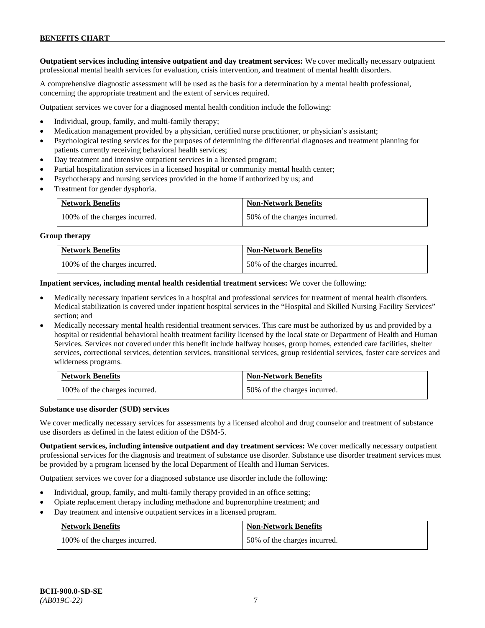**Outpatient services including intensive outpatient and day treatment services:** We cover medically necessary outpatient professional mental health services for evaluation, crisis intervention, and treatment of mental health disorders.

A comprehensive diagnostic assessment will be used as the basis for a determination by a mental health professional, concerning the appropriate treatment and the extent of services required.

Outpatient services we cover for a diagnosed mental health condition include the following:

- Individual, group, family, and multi-family therapy;
- Medication management provided by a physician, certified nurse practitioner, or physician's assistant;
- Psychological testing services for the purposes of determining the differential diagnoses and treatment planning for patients currently receiving behavioral health services;
- Day treatment and intensive outpatient services in a licensed program;
- Partial hospitalization services in a licensed hospital or community mental health center;
- Psychotherapy and nursing services provided in the home if authorized by us; and
- Treatment for gender dysphoria.

| <b>Network Benefits</b>       | <b>Non-Network Benefits</b>  |
|-------------------------------|------------------------------|
| 100% of the charges incurred. | 50% of the charges incurred. |

#### **Group therapy**

| <b>Network Benefits</b>       | <b>Non-Network Benefits</b>  |
|-------------------------------|------------------------------|
| 100% of the charges incurred. | 50% of the charges incurred. |

**Inpatient services, including mental health residential treatment services:** We cover the following:

- Medically necessary inpatient services in a hospital and professional services for treatment of mental health disorders. Medical stabilization is covered under inpatient hospital services in the "Hospital and Skilled Nursing Facility Services" section; and
- Medically necessary mental health residential treatment services. This care must be authorized by us and provided by a hospital or residential behavioral health treatment facility licensed by the local state or Department of Health and Human Services. Services not covered under this benefit include halfway houses, group homes, extended care facilities, shelter services, correctional services, detention services, transitional services, group residential services, foster care services and wilderness programs.

| <b>Network Benefits</b>       | <b>Non-Network Benefits</b>  |
|-------------------------------|------------------------------|
| 100% of the charges incurred. | 50% of the charges incurred. |

#### **Substance use disorder (SUD) services**

We cover medically necessary services for assessments by a licensed alcohol and drug counselor and treatment of substance use disorders as defined in the latest edition of the DSM-5.

**Outpatient services, including intensive outpatient and day treatment services:** We cover medically necessary outpatient professional services for the diagnosis and treatment of substance use disorder. Substance use disorder treatment services must be provided by a program licensed by the local Department of Health and Human Services.

Outpatient services we cover for a diagnosed substance use disorder include the following:

- Individual, group, family, and multi-family therapy provided in an office setting;
- Opiate replacement therapy including methadone and buprenorphine treatment; and
- Day treatment and intensive outpatient services in a licensed program.

| <b>Network Benefits</b>       | <b>Non-Network Benefits</b>  |
|-------------------------------|------------------------------|
| 100% of the charges incurred. | 50% of the charges incurred. |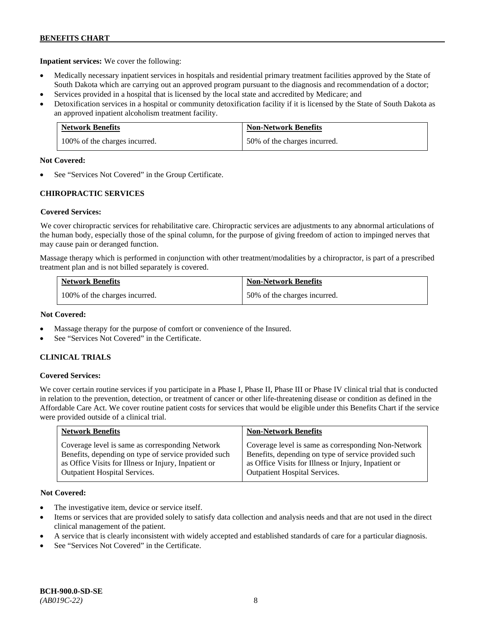**Inpatient services:** We cover the following:

- Medically necessary inpatient services in hospitals and residential primary treatment facilities approved by the State of South Dakota which are carrying out an approved program pursuant to the diagnosis and recommendation of a doctor;
- Services provided in a hospital that is licensed by the local state and accredited by Medicare; and
- Detoxification services in a hospital or community detoxification facility if it is licensed by the State of South Dakota as an approved inpatient alcoholism treatment facility.

| <b>Network Benefits</b>       | <b>Non-Network Benefits</b>  |
|-------------------------------|------------------------------|
| 100% of the charges incurred. | 50% of the charges incurred. |

#### **Not Covered:**

See "Services Not Covered" in the Group Certificate.

## **CHIROPRACTIC SERVICES**

## **Covered Services:**

We cover chiropractic services for rehabilitative care. Chiropractic services are adjustments to any abnormal articulations of the human body, especially those of the spinal column, for the purpose of giving freedom of action to impinged nerves that may cause pain or deranged function.

Massage therapy which is performed in conjunction with other treatment/modalities by a chiropractor, is part of a prescribed treatment plan and is not billed separately is covered.

| <b>Network Benefits</b>       | <b>Non-Network Benefits</b>  |
|-------------------------------|------------------------------|
| 100% of the charges incurred. | 50% of the charges incurred. |

### **Not Covered:**

- Massage therapy for the purpose of comfort or convenience of the Insured.
- See "Services Not Covered" in the Certificate.

## **CLINICAL TRIALS**

## **Covered Services:**

We cover certain routine services if you participate in a Phase I, Phase II, Phase III or Phase IV clinical trial that is conducted in relation to the prevention, detection, or treatment of cancer or other life-threatening disease or condition as defined in the Affordable Care Act. We cover routine patient costs for services that would be eligible under this Benefits Chart if the service were provided outside of a clinical trial.

| <b>Network Benefits</b>                              | <b>Non-Network Benefits</b>                          |
|------------------------------------------------------|------------------------------------------------------|
| Coverage level is same as corresponding Network      | Coverage level is same as corresponding Non-Network  |
| Benefits, depending on type of service provided such | Benefits, depending on type of service provided such |
| as Office Visits for Illness or Injury, Inpatient or | as Office Visits for Illness or Injury, Inpatient or |
| <b>Outpatient Hospital Services.</b>                 | Outpatient Hospital Services.                        |

## **Not Covered:**

- The investigative item, device or service itself.
- Items or services that are provided solely to satisfy data collection and analysis needs and that are not used in the direct clinical management of the patient.
- A service that is clearly inconsistent with widely accepted and established standards of care for a particular diagnosis.
- See "Services Not Covered" in the Certificate.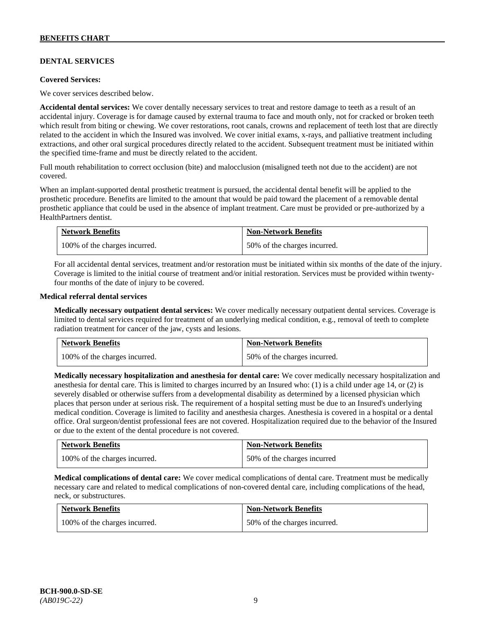## **DENTAL SERVICES**

#### **Covered Services:**

We cover services described below.

**Accidental dental services:** We cover dentally necessary services to treat and restore damage to teeth as a result of an accidental injury. Coverage is for damage caused by external trauma to face and mouth only, not for cracked or broken teeth which result from biting or chewing. We cover restorations, root canals, crowns and replacement of teeth lost that are directly related to the accident in which the Insured was involved. We cover initial exams, x-rays, and palliative treatment including extractions, and other oral surgical procedures directly related to the accident. Subsequent treatment must be initiated within the specified time-frame and must be directly related to the accident.

Full mouth rehabilitation to correct occlusion (bite) and malocclusion (misaligned teeth not due to the accident) are not covered.

When an implant-supported dental prosthetic treatment is pursued, the accidental dental benefit will be applied to the prosthetic procedure. Benefits are limited to the amount that would be paid toward the placement of a removable dental prosthetic appliance that could be used in the absence of implant treatment. Care must be provided or pre-authorized by a HealthPartners dentist.

| <b>Network Benefits</b>       | <b>Non-Network Benefits</b>  |
|-------------------------------|------------------------------|
| 100% of the charges incurred. | 50% of the charges incurred. |

For all accidental dental services, treatment and/or restoration must be initiated within six months of the date of the injury. Coverage is limited to the initial course of treatment and/or initial restoration. Services must be provided within twentyfour months of the date of injury to be covered.

#### **Medical referral dental services**

**Medically necessary outpatient dental services:** We cover medically necessary outpatient dental services. Coverage is limited to dental services required for treatment of an underlying medical condition, e.g., removal of teeth to complete radiation treatment for cancer of the jaw, cysts and lesions.

| <b>Network Benefits</b>       | <b>Non-Network Benefits</b>  |
|-------------------------------|------------------------------|
| 100% of the charges incurred. | 50% of the charges incurred. |

**Medically necessary hospitalization and anesthesia for dental care:** We cover medically necessary hospitalization and anesthesia for dental care. This is limited to charges incurred by an Insured who: (1) is a child under age 14, or (2) is severely disabled or otherwise suffers from a developmental disability as determined by a licensed physician which places that person under at serious risk. The requirement of a hospital setting must be due to an Insured's underlying medical condition. Coverage is limited to facility and anesthesia charges. Anesthesia is covered in a hospital or a dental office. Oral surgeon/dentist professional fees are not covered. Hospitalization required due to the behavior of the Insured or due to the extent of the dental procedure is not covered.

| <b>Network Benefits</b>       | <b>Non-Network Benefits</b> |
|-------------------------------|-----------------------------|
| 100% of the charges incurred. | 50% of the charges incurred |

**Medical complications of dental care:** We cover medical complications of dental care. Treatment must be medically necessary care and related to medical complications of non-covered dental care, including complications of the head, neck, or substructures.

| <b>Network Benefits</b>       | <b>Non-Network Benefits</b>  |
|-------------------------------|------------------------------|
| 100% of the charges incurred. | 50% of the charges incurred. |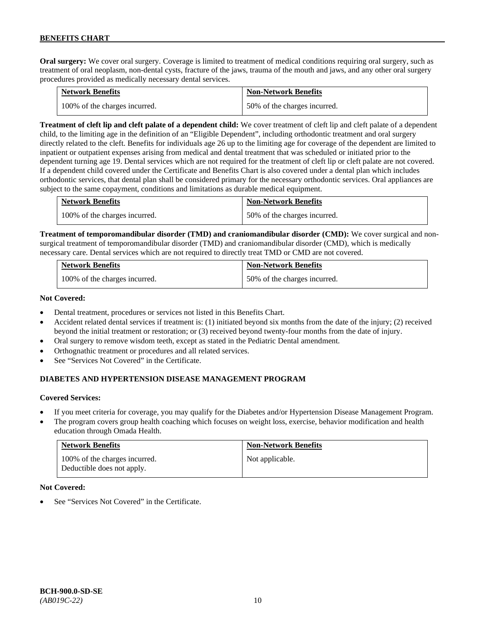**Oral surgery:** We cover oral surgery. Coverage is limited to treatment of medical conditions requiring oral surgery, such as treatment of oral neoplasm, non-dental cysts, fracture of the jaws, trauma of the mouth and jaws, and any other oral surgery procedures provided as medically necessary dental services.

| <b>Network Benefits</b>       | <b>Non-Network Benefits</b>  |
|-------------------------------|------------------------------|
| 100% of the charges incurred. | 50% of the charges incurred. |

**Treatment of cleft lip and cleft palate of a dependent child:** We cover treatment of cleft lip and cleft palate of a dependent child, to the limiting age in the definition of an "Eligible Dependent", including orthodontic treatment and oral surgery directly related to the cleft. Benefits for individuals age 26 up to the limiting age for coverage of the dependent are limited to inpatient or outpatient expenses arising from medical and dental treatment that was scheduled or initiated prior to the dependent turning age 19. Dental services which are not required for the treatment of cleft lip or cleft palate are not covered. If a dependent child covered under the Certificate and Benefits Chart is also covered under a dental plan which includes orthodontic services, that dental plan shall be considered primary for the necessary orthodontic services. Oral appliances are subject to the same copayment, conditions and limitations as durable medical equipment.

| <b>Network Benefits</b>       | <b>Non-Network Benefits</b>  |
|-------------------------------|------------------------------|
| 100% of the charges incurred. | 50% of the charges incurred. |

**Treatment of temporomandibular disorder (TMD) and craniomandibular disorder (CMD):** We cover surgical and nonsurgical treatment of temporomandibular disorder (TMD) and craniomandibular disorder (CMD), which is medically necessary care. Dental services which are not required to directly treat TMD or CMD are not covered.

| <b>Network Benefits</b>       | <b>Non-Network Benefits</b>  |
|-------------------------------|------------------------------|
| 100% of the charges incurred. | 50% of the charges incurred. |

## **Not Covered:**

- Dental treatment, procedures or services not listed in this Benefits Chart.
- Accident related dental services if treatment is: (1) initiated beyond six months from the date of the injury; (2) received beyond the initial treatment or restoration; or (3) received beyond twenty-four months from the date of injury.
- Oral surgery to remove wisdom teeth, except as stated in the Pediatric Dental amendment.
- Orthognathic treatment or procedures and all related services.
- See "Services Not Covered" in the Certificate.

## **DIABETES AND HYPERTENSION DISEASE MANAGEMENT PROGRAM**

## **Covered Services:**

- If you meet criteria for coverage, you may qualify for the Diabetes and/or Hypertension Disease Management Program.
- The program covers group health coaching which focuses on weight loss, exercise, behavior modification and health education through Omada Health.

| <b>Network Benefits</b>                                     | <b>Non-Network Benefits</b> |
|-------------------------------------------------------------|-----------------------------|
| 100% of the charges incurred.<br>Deductible does not apply. | Not applicable.             |

#### **Not Covered:**

See "Services Not Covered" in the Certificate.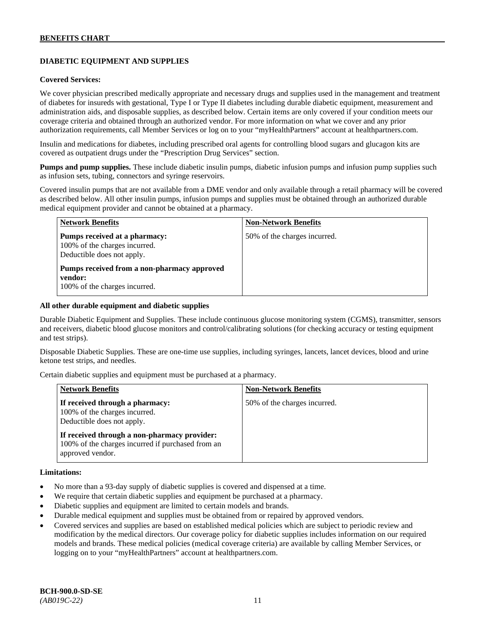## **DIABETIC EQUIPMENT AND SUPPLIES**

### **Covered Services:**

We cover physician prescribed medically appropriate and necessary drugs and supplies used in the management and treatment of diabetes for insureds with gestational, Type I or Type II diabetes including durable diabetic equipment, measurement and administration aids, and disposable supplies, as described below. Certain items are only covered if your condition meets our coverage criteria and obtained through an authorized vendor. For more information on what we cover and any prior authorization requirements, call Member Services or log on to your "myHealthPartners" account at [healthpartners.com.](http://www.healthpartners.com/)

Insulin and medications for diabetes, including prescribed oral agents for controlling blood sugars and glucagon kits are covered as outpatient drugs under the "Prescription Drug Services" section.

**Pumps and pump supplies.** These include diabetic insulin pumps, diabetic infusion pumps and infusion pump supplies such as infusion sets, tubing, connectors and syringe reservoirs.

Covered insulin pumps that are not available from a DME vendor and only available through a retail pharmacy will be covered as described below. All other insulin pumps, infusion pumps and supplies must be obtained through an authorized durable medical equipment provider and cannot be obtained at a pharmacy.

| <b>Network Benefits</b>                                                                      | <b>Non-Network Benefits</b>  |
|----------------------------------------------------------------------------------------------|------------------------------|
| Pumps received at a pharmacy:<br>100% of the charges incurred.<br>Deductible does not apply. | 50% of the charges incurred. |
| Pumps received from a non-pharmacy approved<br>vendor:<br>100% of the charges incurred.      |                              |

#### **All other durable equipment and diabetic supplies**

Durable Diabetic Equipment and Supplies. These include continuous glucose monitoring system (CGMS), transmitter, sensors and receivers, diabetic blood glucose monitors and control/calibrating solutions (for checking accuracy or testing equipment and test strips).

Disposable Diabetic Supplies. These are one-time use supplies, including syringes, lancets, lancet devices, blood and urine ketone test strips, and needles.

Certain diabetic supplies and equipment must be purchased at a pharmacy.

| <b>Network Benefits</b>                                                                                               | <b>Non-Network Benefits</b>  |
|-----------------------------------------------------------------------------------------------------------------------|------------------------------|
| If received through a pharmacy:<br>100% of the charges incurred.<br>Deductible does not apply.                        | 50% of the charges incurred. |
| If received through a non-pharmacy provider:<br>100% of the charges incurred if purchased from an<br>approved vendor. |                              |

#### **Limitations:**

- No more than a 93-day supply of diabetic supplies is covered and dispensed at a time.
- We require that certain diabetic supplies and equipment be purchased at a pharmacy.
- Diabetic supplies and equipment are limited to certain models and brands.
- Durable medical equipment and supplies must be obtained from or repaired by approved vendors.
- Covered services and supplies are based on established medical policies which are subject to periodic review and modification by the medical directors. Our coverage policy for diabetic supplies includes information on our required models and brands. These medical policies (medical coverage criteria) are available by calling Member Services, or logging on to your "myHealthPartners" account at [healthpartners.com.](http://www.healthpartners.com/)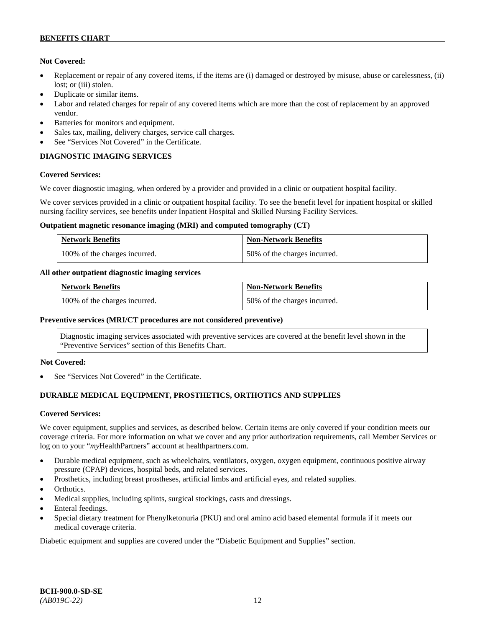## **Not Covered:**

- Replacement or repair of any covered items, if the items are (i) damaged or destroyed by misuse, abuse or carelessness, (ii) lost; or (iii) stolen.
- Duplicate or similar items.
- Labor and related charges for repair of any covered items which are more than the cost of replacement by an approved vendor.
- Batteries for monitors and equipment.
- Sales tax, mailing, delivery charges, service call charges.
- See "Services Not Covered" in the Certificate.

## **DIAGNOSTIC IMAGING SERVICES**

## **Covered Services:**

We cover diagnostic imaging, when ordered by a provider and provided in a clinic or outpatient hospital facility.

We cover services provided in a clinic or outpatient hospital facility. To see the benefit level for inpatient hospital or skilled nursing facility services, see benefits under Inpatient Hospital and Skilled Nursing Facility Services.

#### **Outpatient magnetic resonance imaging (MRI) and computed tomography (CT)**

| <b>Network Benefits</b>       | <b>Non-Network Benefits</b>  |
|-------------------------------|------------------------------|
| 100% of the charges incurred. | 50% of the charges incurred. |

## **All other outpatient diagnostic imaging services**

| <b>Network Benefits</b>       | <b>Non-Network Benefits</b>  |
|-------------------------------|------------------------------|
| 100% of the charges incurred. | 50% of the charges incurred. |

## **Preventive services (MRI/CT procedures are not considered preventive)**

Diagnostic imaging services associated with preventive services are covered at the benefit level shown in the "Preventive Services" section of this Benefits Chart.

## **Not Covered:**

See "Services Not Covered" in the Certificate.

## **DURABLE MEDICAL EQUIPMENT, PROSTHETICS, ORTHOTICS AND SUPPLIES**

## **Covered Services:**

We cover equipment, supplies and services, as described below. Certain items are only covered if your condition meets our coverage criteria. For more information on what we cover and any prior authorization requirements, call Member Services or log on to your "*my*HealthPartners" account at [healthpartners.com.](http://healthpartners.com/)

- Durable medical equipment, such as wheelchairs, ventilators, oxygen, oxygen equipment, continuous positive airway pressure (CPAP) devices, hospital beds, and related services.
- Prosthetics, including breast prostheses, artificial limbs and artificial eyes, and related supplies.
- Orthotics.
- Medical supplies, including splints, surgical stockings, casts and dressings.
- Enteral feedings.
- Special dietary treatment for Phenylketonuria (PKU) and oral amino acid based elemental formula if it meets our medical coverage criteria.

Diabetic equipment and supplies are covered under the "Diabetic Equipment and Supplies" section.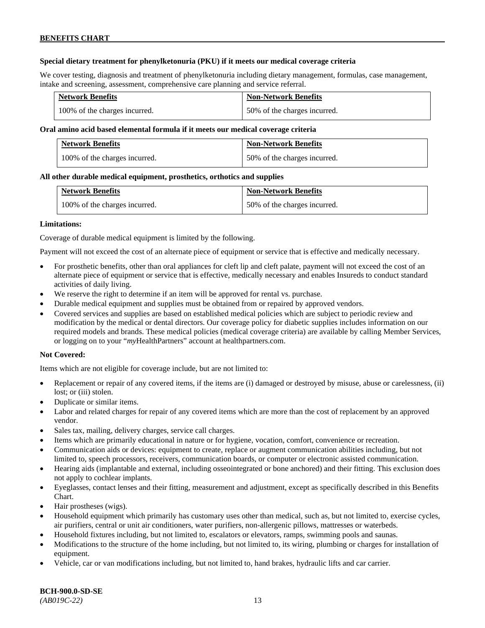## **Special dietary treatment for phenylketonuria (PKU) if it meets our medical coverage criteria**

We cover testing, diagnosis and treatment of phenylketonuria including dietary management, formulas, case management, intake and screening, assessment, comprehensive care planning and service referral.

| <b>Network Benefits</b>       | <b>Non-Network Benefits</b>  |
|-------------------------------|------------------------------|
| 100% of the charges incurred. | 50% of the charges incurred. |

## **Oral amino acid based elemental formula if it meets our medical coverage criteria**

| <b>Network Benefits</b>       | <b>Non-Network Benefits</b>  |
|-------------------------------|------------------------------|
| 100% of the charges incurred. | 50% of the charges incurred. |

#### **All other durable medical equipment, prosthetics, orthotics and supplies**

| <b>Network Benefits</b>       | <b>Non-Network Benefits</b>  |
|-------------------------------|------------------------------|
| 100% of the charges incurred. | 50% of the charges incurred. |

#### **Limitations:**

Coverage of durable medical equipment is limited by the following.

Payment will not exceed the cost of an alternate piece of equipment or service that is effective and medically necessary.

- For prosthetic benefits, other than oral appliances for cleft lip and cleft palate, payment will not exceed the cost of an alternate piece of equipment or service that is effective, medically necessary and enables Insureds to conduct standard activities of daily living.
- We reserve the right to determine if an item will be approved for rental vs. purchase.
- Durable medical equipment and supplies must be obtained from or repaired by approved vendors.
- Covered services and supplies are based on established medical policies which are subject to periodic review and modification by the medical or dental directors. Our coverage policy for diabetic supplies includes information on our required models and brands. These medical policies (medical coverage criteria) are available by calling Member Services, or logging on to your "*my*HealthPartners" account at [healthpartners.com.](http://www.healthpartners.com/)

## **Not Covered:**

Items which are not eligible for coverage include, but are not limited to:

- Replacement or repair of any covered items, if the items are (i) damaged or destroyed by misuse, abuse or carelessness, (ii) lost; or (iii) stolen.
- Duplicate or similar items.
- Labor and related charges for repair of any covered items which are more than the cost of replacement by an approved vendor.
- Sales tax, mailing, delivery charges, service call charges.
- Items which are primarily educational in nature or for hygiene, vocation, comfort, convenience or recreation.
- Communication aids or devices: equipment to create, replace or augment communication abilities including, but not limited to, speech processors, receivers, communication boards, or computer or electronic assisted communication.
- Hearing aids (implantable and external, including osseointegrated or bone anchored) and their fitting. This exclusion does not apply to cochlear implants.
- Eyeglasses, contact lenses and their fitting, measurement and adjustment, except as specifically described in this Benefits Chart.
- Hair prostheses (wigs).
- Household equipment which primarily has customary uses other than medical, such as, but not limited to, exercise cycles, air purifiers, central or unit air conditioners, water purifiers, non-allergenic pillows, mattresses or waterbeds.
- Household fixtures including, but not limited to, escalators or elevators, ramps, swimming pools and saunas.
- Modifications to the structure of the home including, but not limited to, its wiring, plumbing or charges for installation of equipment.
- Vehicle, car or van modifications including, but not limited to, hand brakes, hydraulic lifts and car carrier.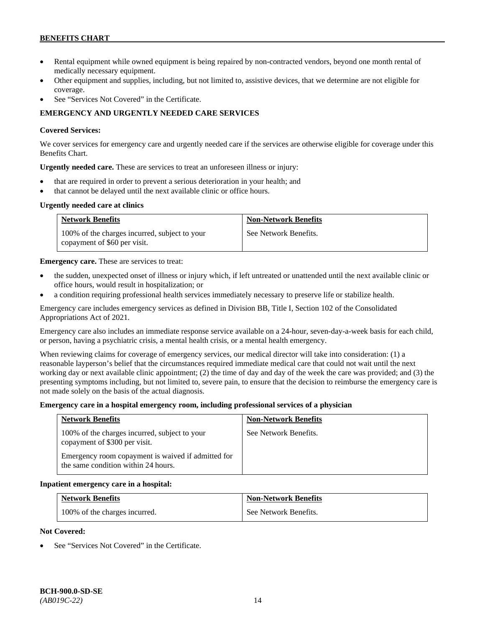- Rental equipment while owned equipment is being repaired by non-contracted vendors, beyond one month rental of medically necessary equipment.
- Other equipment and supplies, including, but not limited to, assistive devices, that we determine are not eligible for coverage.
- See "Services Not Covered" in the Certificate.

## **EMERGENCY AND URGENTLY NEEDED CARE SERVICES**

## **Covered Services:**

We cover services for emergency care and urgently needed care if the services are otherwise eligible for coverage under this Benefits Chart.

**Urgently needed care.** These are services to treat an unforeseen illness or injury:

- that are required in order to prevent a serious deterioration in your health; and
- that cannot be delayed until the next available clinic or office hours.

## **Urgently needed care at clinics**

| <b>Network Benefits</b>                                                       | <b>Non-Network Benefits</b> |
|-------------------------------------------------------------------------------|-----------------------------|
| 100% of the charges incurred, subject to your<br>copayment of \$60 per visit. | See Network Benefits.       |

**Emergency care.** These are services to treat:

- the sudden, unexpected onset of illness or injury which, if left untreated or unattended until the next available clinic or office hours, would result in hospitalization; or
- a condition requiring professional health services immediately necessary to preserve life or stabilize health.

Emergency care includes emergency services as defined in Division BB, Title I, Section 102 of the Consolidated Appropriations Act of 2021.

Emergency care also includes an immediate response service available on a 24-hour, seven-day-a-week basis for each child, or person, having a psychiatric crisis, a mental health crisis, or a mental health emergency.

When reviewing claims for coverage of emergency services, our medical director will take into consideration: (1) a reasonable layperson's belief that the circumstances required immediate medical care that could not wait until the next working day or next available clinic appointment; (2) the time of day and day of the week the care was provided; and (3) the presenting symptoms including, but not limited to, severe pain, to ensure that the decision to reimburse the emergency care is not made solely on the basis of the actual diagnosis.

#### **Emergency care in a hospital emergency room, including professional services of a physician**

| <b>Network Benefits</b>                                                                   | <b>Non-Network Benefits</b> |
|-------------------------------------------------------------------------------------------|-----------------------------|
| 100% of the charges incurred, subject to your<br>copayment of \$300 per visit.            | See Network Benefits.       |
| Emergency room copayment is waived if admitted for<br>the same condition within 24 hours. |                             |

#### **Inpatient emergency care in a hospital:**

| <b>Network Benefits</b>       | <b>Non-Network Benefits</b> |
|-------------------------------|-----------------------------|
| 100% of the charges incurred. | See Network Benefits.       |

#### **Not Covered:**

See "Services Not Covered" in the Certificate.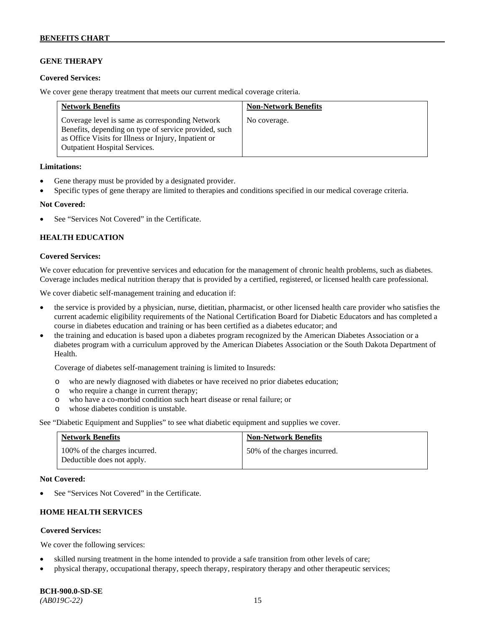## **GENE THERAPY**

### **Covered Services:**

We cover gene therapy treatment that meets our current medical coverage criteria.

| <b>Network Benefits</b>                                                                                                                                                                                  | <b>Non-Network Benefits</b> |
|----------------------------------------------------------------------------------------------------------------------------------------------------------------------------------------------------------|-----------------------------|
| Coverage level is same as corresponding Network<br>Benefits, depending on type of service provided, such<br>as Office Visits for Illness or Injury, Inpatient or<br><b>Outpatient Hospital Services.</b> | No coverage.                |

#### **Limitations:**

- Gene therapy must be provided by a designated provider.
- Specific types of gene therapy are limited to therapies and conditions specified in our medical coverage criteria.

#### **Not Covered:**

See "Services Not Covered" in the Certificate.

## **HEALTH EDUCATION**

#### **Covered Services:**

We cover education for preventive services and education for the management of chronic health problems, such as diabetes. Coverage includes medical nutrition therapy that is provided by a certified, registered, or licensed health care professional.

We cover diabetic self-management training and education if:

- the service is provided by a physician, nurse, dietitian, pharmacist, or other licensed health care provider who satisfies the current academic eligibility requirements of the National Certification Board for Diabetic Educators and has completed a course in diabetes education and training or has been certified as a diabetes educator; and
- the training and education is based upon a diabetes program recognized by the American Diabetes Association or a diabetes program with a curriculum approved by the American Diabetes Association or the South Dakota Department of Health.

Coverage of diabetes self-management training is limited to Insureds:

- o who are newly diagnosed with diabetes or have received no prior diabetes education;
- o who require a change in current therapy;<br>o who have a co-morbid condition such heal
- who have a co-morbid condition such heart disease or renal failure; or
- o whose diabetes condition is unstable.

See "Diabetic Equipment and Supplies" to see what diabetic equipment and supplies we cover.

| <b>Network Benefits</b>                                     | <b>Non-Network Benefits</b>  |
|-------------------------------------------------------------|------------------------------|
| 100% of the charges incurred.<br>Deductible does not apply. | 50% of the charges incurred. |

#### **Not Covered:**

See "Services Not Covered" in the Certificate.

## **HOME HEALTH SERVICES**

## **Covered Services:**

We cover the following services:

- skilled nursing treatment in the home intended to provide a safe transition from other levels of care;
- physical therapy, occupational therapy, speech therapy, respiratory therapy and other therapeutic services;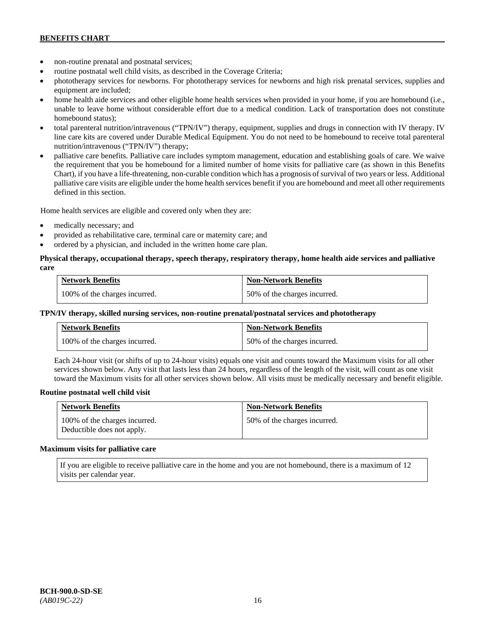- non-routine prenatal and postnatal services;
- routine postnatal well child visits, as described in the Coverage Criteria;
- phototherapy services for newborns. For phototherapy services for newborns and high risk prenatal services, supplies and equipment are included;
- home health aide services and other eligible home health services when provided in your home, if you are homebound (i.e., unable to leave home without considerable effort due to a medical condition. Lack of transportation does not constitute homebound status);
- total parenteral nutrition/intravenous ("TPN/IV") therapy, equipment, supplies and drugs in connection with IV therapy. IV line care kits are covered under Durable Medical Equipment. You do not need to be homebound to receive total parenteral nutrition/intravenous ("TPN/IV") therapy;
- palliative care benefits. Palliative care includes symptom management, education and establishing goals of care. We waive the requirement that you be homebound for a limited number of home visits for palliative care (as shown in this Benefits Chart), if you have a life-threatening, non-curable condition which has a prognosis of survival of two years or less. Additional palliative care visits are eligible under the home health services benefit if you are homebound and meet all other requirements defined in this section.

Home health services are eligible and covered only when they are:

- medically necessary; and
- provided as rehabilitative care, terminal care or maternity care; and
- ordered by a physician, and included in the written home care plan.

### **Physical therapy, occupational therapy, speech therapy, respiratory therapy, home health aide services and palliative care**

| <b>Network Benefits</b>       | <b>Non-Network Benefits</b>  |
|-------------------------------|------------------------------|
| 100% of the charges incurred. | 50% of the charges incurred. |

#### **TPN/IV therapy, skilled nursing services, non-routine prenatal/postnatal services and phototherapy**

| <b>Network Benefits</b>       | <b>Non-Network Benefits</b>  |
|-------------------------------|------------------------------|
| 100% of the charges incurred. | 50% of the charges incurred. |

Each 24-hour visit (or shifts of up to 24-hour visits) equals one visit and counts toward the Maximum visits for all other services shown below. Any visit that lasts less than 24 hours, regardless of the length of the visit, will count as one visit toward the Maximum visits for all other services shown below. All visits must be medically necessary and benefit eligible.

#### **Routine postnatal well child visit**

| <b>Network Benefits</b>                                     | <b>Non-Network Benefits</b>  |
|-------------------------------------------------------------|------------------------------|
| 100% of the charges incurred.<br>Deductible does not apply. | 50% of the charges incurred. |

#### **Maximum visits for palliative care**

If you are eligible to receive palliative care in the home and you are not homebound, there is a maximum of 12 visits per calendar year.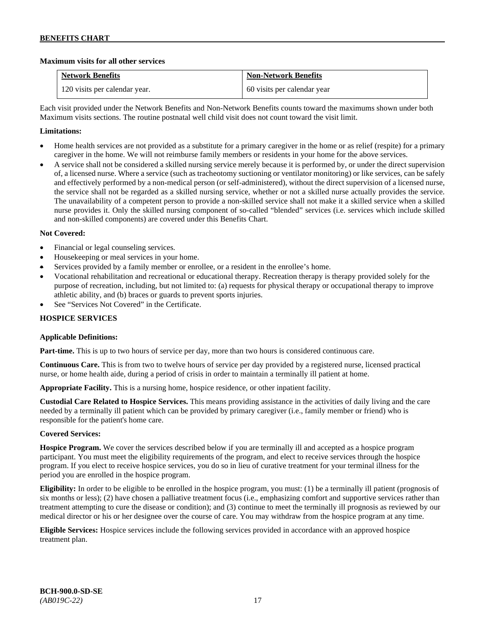## **Maximum visits for all other services**

| <b>Network Benefits</b>       | <b>Non-Network Benefits</b> |
|-------------------------------|-----------------------------|
| 120 visits per calendar year. | 60 visits per calendar year |

Each visit provided under the Network Benefits and Non-Network Benefits counts toward the maximums shown under both Maximum visits sections. The routine postnatal well child visit does not count toward the visit limit.

## **Limitations:**

- Home health services are not provided as a substitute for a primary caregiver in the home or as relief (respite) for a primary caregiver in the home. We will not reimburse family members or residents in your home for the above services.
- A service shall not be considered a skilled nursing service merely because it is performed by, or under the direct supervision of, a licensed nurse. Where a service (such as tracheotomy suctioning or ventilator monitoring) or like services, can be safely and effectively performed by a non-medical person (or self-administered), without the direct supervision of a licensed nurse, the service shall not be regarded as a skilled nursing service, whether or not a skilled nurse actually provides the service. The unavailability of a competent person to provide a non-skilled service shall not make it a skilled service when a skilled nurse provides it. Only the skilled nursing component of so-called "blended" services (i.e. services which include skilled and non-skilled components) are covered under this Benefits Chart.

## **Not Covered:**

- Financial or legal counseling services.
- Housekeeping or meal services in your home.
- Services provided by a family member or enrollee, or a resident in the enrollee's home.
- Vocational rehabilitation and recreational or educational therapy. Recreation therapy is therapy provided solely for the purpose of recreation, including, but not limited to: (a) requests for physical therapy or occupational therapy to improve athletic ability, and (b) braces or guards to prevent sports injuries.
- See "Services Not Covered" in the Certificate.

## **HOSPICE SERVICES**

## **Applicable Definitions:**

**Part-time.** This is up to two hours of service per day, more than two hours is considered continuous care.

**Continuous Care.** This is from two to twelve hours of service per day provided by a registered nurse, licensed practical nurse, or home health aide, during a period of crisis in order to maintain a terminally ill patient at home.

**Appropriate Facility.** This is a nursing home, hospice residence, or other inpatient facility.

**Custodial Care Related to Hospice Services.** This means providing assistance in the activities of daily living and the care needed by a terminally ill patient which can be provided by primary caregiver (i.e., family member or friend) who is responsible for the patient's home care.

## **Covered Services:**

**Hospice Program.** We cover the services described below if you are terminally ill and accepted as a hospice program participant. You must meet the eligibility requirements of the program, and elect to receive services through the hospice program. If you elect to receive hospice services, you do so in lieu of curative treatment for your terminal illness for the period you are enrolled in the hospice program.

**Eligibility:** In order to be eligible to be enrolled in the hospice program, you must: (1) be a terminally ill patient (prognosis of six months or less); (2) have chosen a palliative treatment focus (i.e., emphasizing comfort and supportive services rather than treatment attempting to cure the disease or condition); and (3) continue to meet the terminally ill prognosis as reviewed by our medical director or his or her designee over the course of care. You may withdraw from the hospice program at any time.

**Eligible Services:** Hospice services include the following services provided in accordance with an approved hospice treatment plan.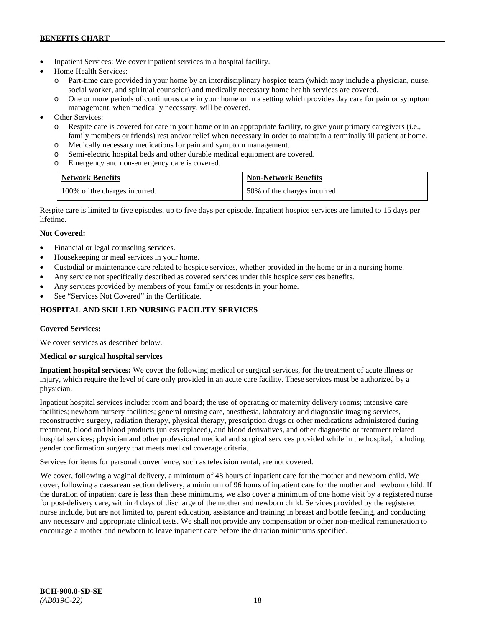- Inpatient Services: We cover inpatient services in a hospital facility.
- Home Health Services:
	- o Part-time care provided in your home by an interdisciplinary hospice team (which may include a physician, nurse, social worker, and spiritual counselor) and medically necessary home health services are covered.
	- o One or more periods of continuous care in your home or in a setting which provides day care for pain or symptom management, when medically necessary, will be covered.
- Other Services:
	- o Respite care is covered for care in your home or in an appropriate facility, to give your primary caregivers (i.e., family members or friends) rest and/or relief when necessary in order to maintain a terminally ill patient at home*.*
	- o Medically necessary medications for pain and symptom management.
	- o Semi-electric hospital beds and other durable medical equipment are covered.
	- o Emergency and non-emergency care is covered.

| <b>Network Benefits</b>       | <b>Non-Network Benefits</b>  |
|-------------------------------|------------------------------|
| 100% of the charges incurred. | 50% of the charges incurred. |

Respite care is limited to five episodes, up to five days per episode. Inpatient hospice services are limited to 15 days per lifetime.

## **Not Covered:**

- Financial or legal counseling services.
- Housekeeping or meal services in your home.
- Custodial or maintenance care related to hospice services, whether provided in the home or in a nursing home.
- Any service not specifically described as covered services under this hospice services benefits.
- Any services provided by members of your family or residents in your home.
- See "Services Not Covered" in the Certificate.

## **HOSPITAL AND SKILLED NURSING FACILITY SERVICES**

## **Covered Services:**

We cover services as described below.

## **Medical or surgical hospital services**

**Inpatient hospital services:** We cover the following medical or surgical services, for the treatment of acute illness or injury, which require the level of care only provided in an acute care facility. These services must be authorized by a physician.

Inpatient hospital services include: room and board; the use of operating or maternity delivery rooms; intensive care facilities; newborn nursery facilities; general nursing care, anesthesia, laboratory and diagnostic imaging services, reconstructive surgery, radiation therapy, physical therapy, prescription drugs or other medications administered during treatment, blood and blood products (unless replaced), and blood derivatives, and other diagnostic or treatment related hospital services; physician and other professional medical and surgical services provided while in the hospital, including gender confirmation surgery that meets medical coverage criteria.

Services for items for personal convenience, such as television rental, are not covered.

We cover, following a vaginal delivery, a minimum of 48 hours of inpatient care for the mother and newborn child. We cover, following a caesarean section delivery, a minimum of 96 hours of inpatient care for the mother and newborn child. If the duration of inpatient care is less than these minimums, we also cover a minimum of one home visit by a registered nurse for post-delivery care, within 4 days of discharge of the mother and newborn child. Services provided by the registered nurse include, but are not limited to, parent education, assistance and training in breast and bottle feeding, and conducting any necessary and appropriate clinical tests. We shall not provide any compensation or other non-medical remuneration to encourage a mother and newborn to leave inpatient care before the duration minimums specified.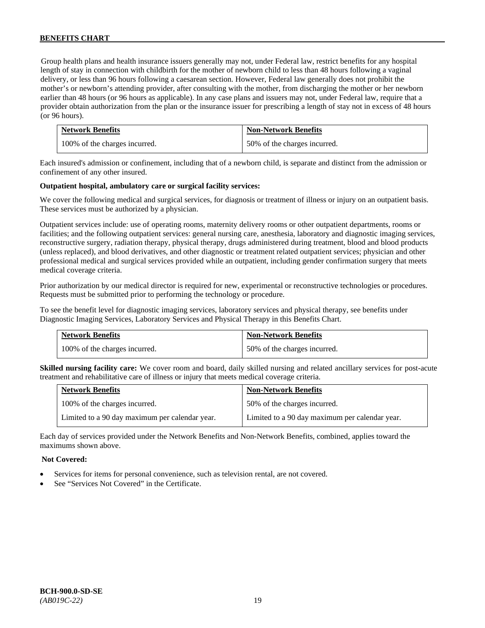Group health plans and health insurance issuers generally may not, under Federal law, restrict benefits for any hospital length of stay in connection with childbirth for the mother of newborn child to less than 48 hours following a vaginal delivery, or less than 96 hours following a caesarean section. However, Federal law generally does not prohibit the mother's or newborn's attending provider, after consulting with the mother, from discharging the mother or her newborn earlier than 48 hours (or 96 hours as applicable). In any case plans and issuers may not, under Federal law, require that a provider obtain authorization from the plan or the insurance issuer for prescribing a length of stay not in excess of 48 hours (or 96 hours).

| <b>Network Benefits</b>       | <b>Non-Network Benefits</b>  |
|-------------------------------|------------------------------|
| 100% of the charges incurred. | 50% of the charges incurred. |

Each insured's admission or confinement, including that of a newborn child, is separate and distinct from the admission or confinement of any other insured.

#### **Outpatient hospital, ambulatory care or surgical facility services:**

We cover the following medical and surgical services, for diagnosis or treatment of illness or injury on an outpatient basis. These services must be authorized by a physician.

Outpatient services include: use of operating rooms, maternity delivery rooms or other outpatient departments, rooms or facilities; and the following outpatient services: general nursing care, anesthesia, laboratory and diagnostic imaging services, reconstructive surgery, radiation therapy, physical therapy, drugs administered during treatment, blood and blood products (unless replaced), and blood derivatives, and other diagnostic or treatment related outpatient services; physician and other professional medical and surgical services provided while an outpatient, including gender confirmation surgery that meets medical coverage criteria.

Prior authorization by our medical director is required for new, experimental or reconstructive technologies or procedures. Requests must be submitted prior to performing the technology or procedure.

To see the benefit level for diagnostic imaging services, laboratory services and physical therapy, see benefits under Diagnostic Imaging Services, Laboratory Services and Physical Therapy in this Benefits Chart.

| <b>Network Benefits</b>       | <b>Non-Network Benefits</b>  |
|-------------------------------|------------------------------|
| 100% of the charges incurred. | 50% of the charges incurred. |

**Skilled nursing facility care:** We cover room and board, daily skilled nursing and related ancillary services for post-acute treatment and rehabilitative care of illness or injury that meets medical coverage criteria.

| <b>Network Benefits</b>                        | <b>Non-Network Benefits</b>                    |
|------------------------------------------------|------------------------------------------------|
| 100% of the charges incurred.                  | 50% of the charges incurred.                   |
| Limited to a 90 day maximum per calendar year. | Limited to a 90 day maximum per calendar year. |

Each day of services provided under the Network Benefits and Non-Network Benefits, combined, applies toward the maximums shown above.

### **Not Covered:**

- Services for items for personal convenience, such as television rental, are not covered.
- See "Services Not Covered" in the Certificate.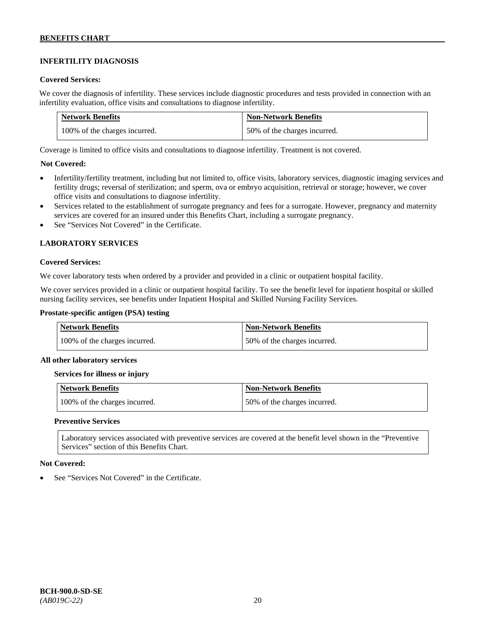## **INFERTILITY DIAGNOSIS**

### **Covered Services:**

We cover the diagnosis of infertility. These services include diagnostic procedures and tests provided in connection with an infertility evaluation, office visits and consultations to diagnose infertility.

| <b>Network Benefits</b>       | <b>Non-Network Benefits</b>  |
|-------------------------------|------------------------------|
| 100% of the charges incurred. | 50% of the charges incurred. |

Coverage is limited to office visits and consultations to diagnose infertility. Treatment is not covered.

## **Not Covered:**

- Infertility/fertility treatment, including but not limited to, office visits, laboratory services, diagnostic imaging services and fertility drugs; reversal of sterilization; and sperm, ova or embryo acquisition, retrieval or storage; however, we cover office visits and consultations to diagnose infertility.
- Services related to the establishment of surrogate pregnancy and fees for a surrogate. However, pregnancy and maternity services are covered for an insured under this Benefits Chart, including a surrogate pregnancy.
- See "Services Not Covered" in the Certificate.

## **LABORATORY SERVICES**

#### **Covered Services:**

We cover laboratory tests when ordered by a provider and provided in a clinic or outpatient hospital facility.

We cover services provided in a clinic or outpatient hospital facility. To see the benefit level for inpatient hospital or skilled nursing facility services, see benefits under Inpatient Hospital and Skilled Nursing Facility Services.

### **Prostate-specific antigen (PSA) testing**

| <b>Network Benefits</b>       | <b>Non-Network Benefits</b>  |
|-------------------------------|------------------------------|
| 100% of the charges incurred. | 50% of the charges incurred. |

#### **All other laboratory services**

#### **Services for illness or injury**

| Network Benefits              | <b>Non-Network Benefits</b>  |
|-------------------------------|------------------------------|
| 100% of the charges incurred. | 50% of the charges incurred. |

#### **Preventive Services**

Laboratory services associated with preventive services are covered at the benefit level shown in the "Preventive Services" section of this Benefits Chart.

#### **Not Covered:**

See "Services Not Covered" in the Certificate.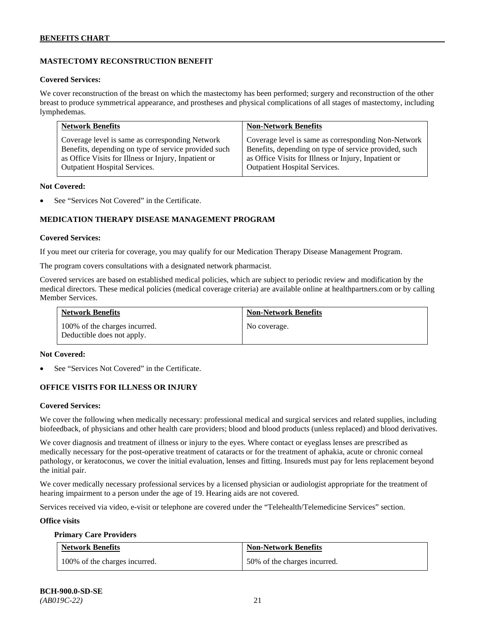## **MASTECTOMY RECONSTRUCTION BENEFIT**

#### **Covered Services:**

We cover reconstruction of the breast on which the mastectomy has been performed; surgery and reconstruction of the other breast to produce symmetrical appearance, and prostheses and physical complications of all stages of mastectomy, including lymphedemas.

| <b>Network Benefits</b>                              | <b>Non-Network Benefits</b>                           |
|------------------------------------------------------|-------------------------------------------------------|
| Coverage level is same as corresponding Network      | Coverage level is same as corresponding Non-Network   |
| Benefits, depending on type of service provided such | Benefits, depending on type of service provided, such |
| as Office Visits for Illness or Injury, Inpatient or | as Office Visits for Illness or Injury, Inpatient or  |
| Outpatient Hospital Services.                        | <b>Outpatient Hospital Services.</b>                  |

#### **Not Covered:**

See "Services Not Covered" in the Certificate.

## **MEDICATION THERAPY DISEASE MANAGEMENT PROGRAM**

#### **Covered Services:**

If you meet our criteria for coverage, you may qualify for our Medication Therapy Disease Management Program.

The program covers consultations with a designated network pharmacist.

Covered services are based on established medical policies, which are subject to periodic review and modification by the medical directors. These medical policies (medical coverage criteria) are available online at [healthpartners.com](http://www.healthpartners.com/) or by calling Member Services.

| <b>Network Benefits</b>                                     | <b>Non-Network Benefits</b> |
|-------------------------------------------------------------|-----------------------------|
| 100% of the charges incurred.<br>Deductible does not apply. | No coverage.                |

#### **Not Covered:**

See "Services Not Covered" in the Certificate.

## **OFFICE VISITS FOR ILLNESS OR INJURY**

## **Covered Services:**

We cover the following when medically necessary: professional medical and surgical services and related supplies, including biofeedback, of physicians and other health care providers; blood and blood products (unless replaced) and blood derivatives.

We cover diagnosis and treatment of illness or injury to the eyes. Where contact or eyeglass lenses are prescribed as medically necessary for the post-operative treatment of cataracts or for the treatment of aphakia, acute or chronic corneal pathology, or keratoconus, we cover the initial evaluation, lenses and fitting. Insureds must pay for lens replacement beyond the initial pair.

We cover medically necessary professional services by a licensed physician or audiologist appropriate for the treatment of hearing impairment to a person under the age of 19. Hearing aids are not covered.

Services received via video, e-visit or telephone are covered under the "Telehealth/Telemedicine Services" section.

#### **Office visits**

#### **Primary Care Providers**

| <b>Network Benefits</b>       | <b>Non-Network Benefits</b>  |
|-------------------------------|------------------------------|
| 100% of the charges incurred. | 50% of the charges incurred. |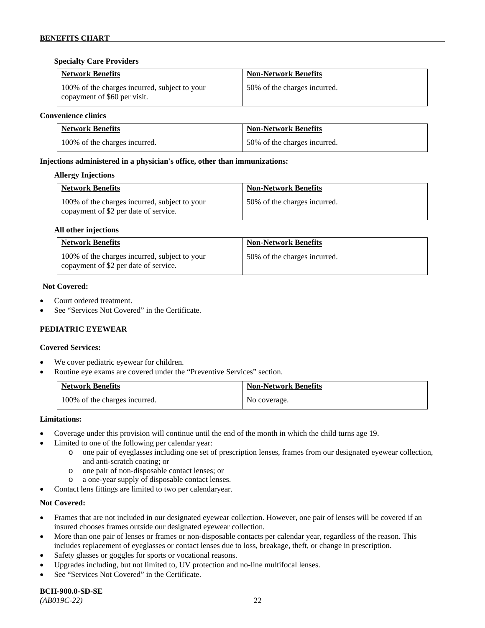## **Specialty Care Providers**

| <b>Network Benefits</b>                                                       | <b>Non-Network Benefits</b>  |
|-------------------------------------------------------------------------------|------------------------------|
| 100% of the charges incurred, subject to your<br>copayment of \$60 per visit. | 50% of the charges incurred. |

#### **Convenience clinics**

| <b>Network Benefits</b>       | <b>Non-Network Benefits</b>  |
|-------------------------------|------------------------------|
| 100% of the charges incurred. | 50% of the charges incurred. |

## **Injections administered in a physician's office, other than immunizations:**

#### **Allergy Injections**

| <b>Network Benefits</b>                                                                | <b>Non-Network Benefits</b>  |
|----------------------------------------------------------------------------------------|------------------------------|
| 100% of the charges incurred, subject to your<br>copayment of \$2 per date of service. | 50% of the charges incurred. |

#### **All other injections**

| <b>Network Benefits</b>                                                                | <b>Non-Network Benefits</b>  |
|----------------------------------------------------------------------------------------|------------------------------|
| 100% of the charges incurred, subject to your<br>copayment of \$2 per date of service. | 50% of the charges incurred. |

#### **Not Covered:**

- Court ordered treatment.
- See "Services Not Covered" in the Certificate.

## **PEDIATRIC EYEWEAR**

## **Covered Services:**

- We cover pediatric eyewear for children.
- Routine eye exams are covered under the "Preventive Services" section.

| <b>Network Benefits</b>       | <b>Non-Network Benefits</b> |
|-------------------------------|-----------------------------|
| 100% of the charges incurred. | No coverage.                |

#### **Limitations:**

- Coverage under this provision will continue until the end of the month in which the child turns age 19.
- Limited to one of the following per calendar year:
	- o one pair of eyeglasses including one set of prescription lenses, frames from our designated eyewear collection, and anti-scratch coating; or
	- o one pair of non-disposable contact lenses; or
	- o a one-year supply of disposable contact lenses.
- Contact lens fittings are limited to two per calendaryear.

## **Not Covered:**

- Frames that are not included in our designated eyewear collection. However, one pair of lenses will be covered if an insured chooses frames outside our designated eyewear collection.
- More than one pair of lenses or frames or non-disposable contacts per calendar year, regardless of the reason. This includes replacement of eyeglasses or contact lenses due to loss, breakage, theft, or change in prescription.
- Safety glasses or goggles for sports or vocational reasons.
- Upgrades including, but not limited to, UV protection and no-line multifocal lenses.
- See "Services Not Covered" in the Certificate.

# **BCH-900.0-SD-SE**

*(AB019C-22)* 22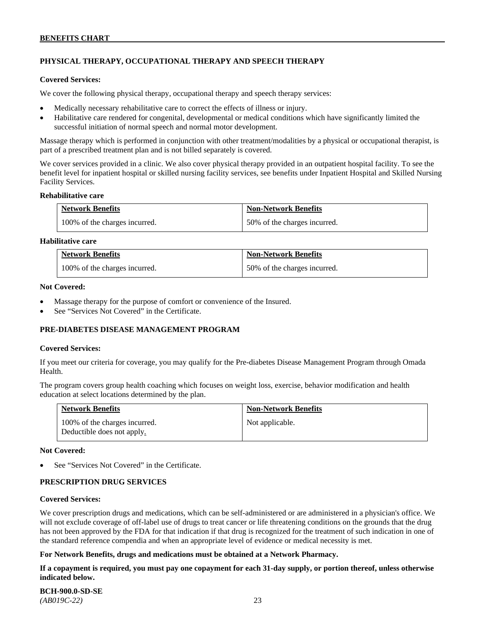## **PHYSICAL THERAPY, OCCUPATIONAL THERAPY AND SPEECH THERAPY**

#### **Covered Services:**

We cover the following physical therapy, occupational therapy and speech therapy services:

- Medically necessary rehabilitative care to correct the effects of illness or injury.
- Habilitative care rendered for congenital, developmental or medical conditions which have significantly limited the successful initiation of normal speech and normal motor development.

Massage therapy which is performed in conjunction with other treatment/modalities by a physical or occupational therapist, is part of a prescribed treatment plan and is not billed separately is covered.

We cover services provided in a clinic. We also cover physical therapy provided in an outpatient hospital facility. To see the benefit level for inpatient hospital or skilled nursing facility services, see benefits under Inpatient Hospital and Skilled Nursing Facility Services.

#### **Rehabilitative care**

| <b>Network Benefits</b>       | <b>Non-Network Benefits</b>  |
|-------------------------------|------------------------------|
| 100% of the charges incurred. | 50% of the charges incurred. |

## **Habilitative care**

| <b>Network Benefits</b>       | <b>Non-Network Benefits</b>  |
|-------------------------------|------------------------------|
| 100% of the charges incurred. | 50% of the charges incurred. |

#### **Not Covered:**

- Massage therapy for the purpose of comfort or convenience of the Insured.
- See "Services Not Covered" in the Certificate.

## **PRE-DIABETES DISEASE MANAGEMENT PROGRAM**

#### **Covered Services:**

If you meet our criteria for coverage, you may qualify for the Pre-diabetes Disease Management Program through Omada Health.

The program covers group health coaching which focuses on weight loss, exercise, behavior modification and health education at select locations determined by the plan.

| <b>Network Benefits</b>                                     | <b>Non-Network Benefits</b> |
|-------------------------------------------------------------|-----------------------------|
| 100% of the charges incurred.<br>Deductible does not apply. | Not applicable.             |

#### **Not Covered:**

See "Services Not Covered" in the Certificate.

## **PRESCRIPTION DRUG SERVICES**

#### **Covered Services:**

We cover prescription drugs and medications, which can be self-administered or are administered in a physician's office. We will not exclude coverage of off-label use of drugs to treat cancer or life threatening conditions on the grounds that the drug has not been approved by the FDA for that indication if that drug is recognized for the treatment of such indication in one of the standard reference compendia and when an appropriate level of evidence or medical necessity is met.

## **For Network Benefits, drugs and medications must be obtained at a Network Pharmacy.**

**If a copayment is required, you must pay one copayment for each 31-day supply, or portion thereof, unless otherwise indicated below.**

**BCH-900.0-SD-SE**  *(AB019C-22)* 23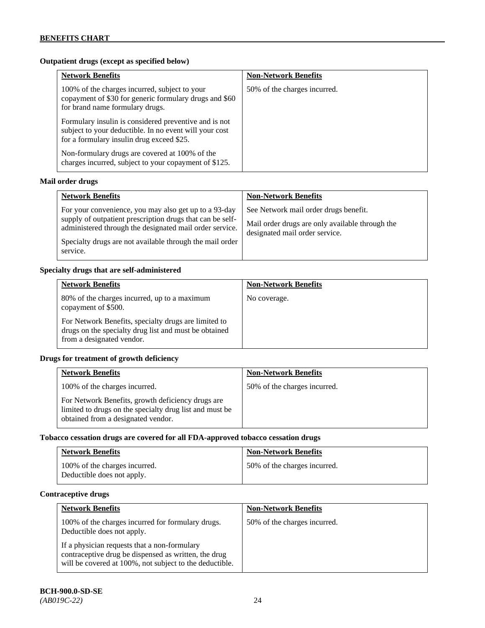## **Outpatient drugs (except as specified below)**

| <b>Network Benefits</b>                                                                                                                                      | <b>Non-Network Benefits</b>  |
|--------------------------------------------------------------------------------------------------------------------------------------------------------------|------------------------------|
| 100% of the charges incurred, subject to your<br>copayment of \$30 for generic formulary drugs and \$60<br>for brand name formulary drugs.                   | 50% of the charges incurred. |
| Formulary insulin is considered preventive and is not<br>subject to your deductible. In no event will your cost<br>for a formulary insulin drug exceed \$25. |                              |
| Non-formulary drugs are covered at 100% of the<br>charges incurred, subject to your copayment of \$125.                                                      |                              |

## **Mail order drugs**

| <b>Network Benefits</b>                                                                                                                                                                                                                               | <b>Non-Network Benefits</b>                                                                                                |
|-------------------------------------------------------------------------------------------------------------------------------------------------------------------------------------------------------------------------------------------------------|----------------------------------------------------------------------------------------------------------------------------|
| For your convenience, you may also get up to a 93-day<br>supply of outpatient prescription drugs that can be self-<br>administered through the designated mail order service.<br>Specialty drugs are not available through the mail order<br>service. | See Network mail order drugs benefit.<br>Mail order drugs are only available through the<br>designated mail order service. |

## **Specialty drugs that are self-administered**

| <b>Network Benefits</b>                                                                                                                    | <b>Non-Network Benefits</b> |
|--------------------------------------------------------------------------------------------------------------------------------------------|-----------------------------|
| 80% of the charges incurred, up to a maximum<br>copayment of \$500.                                                                        | No coverage.                |
| For Network Benefits, specialty drugs are limited to<br>drugs on the specialty drug list and must be obtained<br>from a designated vendor. |                             |

## **Drugs for treatment of growth deficiency**

| <b>Network Benefits</b>                                                                                                                            | <b>Non-Network Benefits</b>  |
|----------------------------------------------------------------------------------------------------------------------------------------------------|------------------------------|
| 100% of the charges incurred.                                                                                                                      | 50% of the charges incurred. |
| For Network Benefits, growth deficiency drugs are<br>limited to drugs on the specialty drug list and must be<br>obtained from a designated vendor. |                              |

## **Tobacco cessation drugs are covered for all FDA-approved tobacco cessation drugs**

| <b>Network Benefits</b>                                     | <b>Non-Network Benefits</b>  |
|-------------------------------------------------------------|------------------------------|
| 100% of the charges incurred.<br>Deductible does not apply. | 50% of the charges incurred. |

## **Contraceptive drugs**

| <b>Network Benefits</b>                                                                                                                                         | <b>Non-Network Benefits</b>  |
|-----------------------------------------------------------------------------------------------------------------------------------------------------------------|------------------------------|
| 100% of the charges incurred for formulary drugs.<br>Deductible does not apply.                                                                                 | 50% of the charges incurred. |
| If a physician requests that a non-formulary<br>contraceptive drug be dispensed as written, the drug<br>will be covered at 100%, not subject to the deductible. |                              |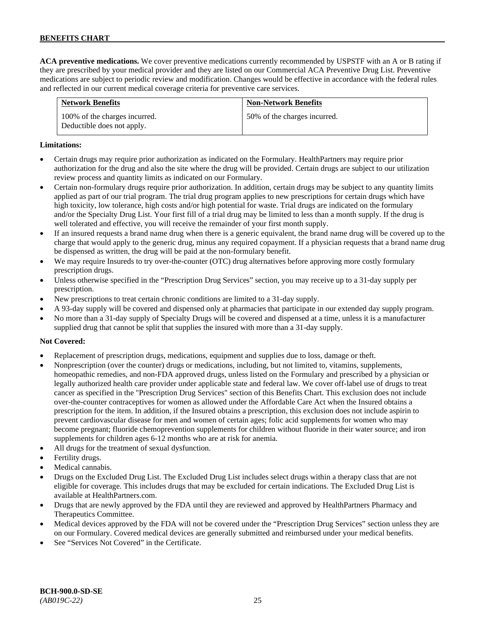**ACA preventive medications.** We cover preventive medications currently recommended by USPSTF with an A or B rating if they are prescribed by your medical provider and they are listed on our Commercial ACA Preventive Drug List. Preventive medications are subject to periodic review and modification. Changes would be effective in accordance with the federal rules and reflected in our current medical coverage criteria for preventive care services.

| <b>Network Benefits</b>                                     | <b>Non-Network Benefits</b>  |
|-------------------------------------------------------------|------------------------------|
| 100% of the charges incurred.<br>Deductible does not apply. | 50% of the charges incurred. |

## **Limitations:**

- Certain drugs may require prior authorization as indicated on the Formulary. HealthPartners may require prior authorization for the drug and also the site where the drug will be provided. Certain drugs are subject to our utilization review process and quantity limits as indicated on our Formulary.
- Certain non-formulary drugs require prior authorization. In addition, certain drugs may be subject to any quantity limits applied as part of our trial program. The trial drug program applies to new prescriptions for certain drugs which have high toxicity, low tolerance, high costs and/or high potential for waste. Trial drugs are indicated on the formulary and/or the Specialty Drug List. Your first fill of a trial drug may be limited to less than a month supply. If the drug is well tolerated and effective, you will receive the remainder of your first month supply.
- If an insured requests a brand name drug when there is a generic equivalent, the brand name drug will be covered up to the charge that would apply to the generic drug, minus any required copayment. If a physician requests that a brand name drug be dispensed as written, the drug will be paid at the non-formulary benefit.
- We may require Insureds to try over-the-counter (OTC) drug alternatives before approving more costly formulary prescription drugs.
- Unless otherwise specified in the "Prescription Drug Services" section, you may receive up to a 31-day supply per prescription.
- New prescriptions to treat certain chronic conditions are limited to a 31-day supply.
- A 93-day supply will be covered and dispensed only at pharmacies that participate in our extended day supply program.
- No more than a 31-day supply of Specialty Drugs will be covered and dispensed at a time, unless it is a manufacturer supplied drug that cannot be split that supplies the insured with more than a 31-day supply.

## **Not Covered:**

- Replacement of prescription drugs, medications, equipment and supplies due to loss, damage or theft.
- Nonprescription (over the counter) drugs or medications, including, but not limited to, vitamins, supplements, homeopathic remedies, and non-FDA approved drugs, unless listed on the Formulary and prescribed by a physician or legally authorized health care provider under applicable state and federal law. We cover off-label use of drugs to treat cancer as specified in the "Prescription Drug Services" section of this Benefits Chart. This exclusion does not include over-the-counter contraceptives for women as allowed under the Affordable Care Act when the Insured obtains a prescription for the item. In addition, if the Insured obtains a prescription, this exclusion does not include aspirin to prevent cardiovascular disease for men and women of certain ages; folic acid supplements for women who may become pregnant; fluoride chemoprevention supplements for children without fluoride in their water source; and iron supplements for children ages 6-12 months who are at risk for anemia.
- All drugs for the treatment of sexual dysfunction.
- Fertility drugs.
- Medical cannabis.
- Drugs on the Excluded Drug List. The Excluded Drug List includes select drugs within a therapy class that are not eligible for coverage. This includes drugs that may be excluded for certain indications. The Excluded Drug List is available a[t HealthPartners.com.](http://www.healthpartners.com/)
- Drugs that are newly approved by the FDA until they are reviewed and approved by HealthPartners Pharmacy and Therapeutics Committee.
- Medical devices approved by the FDA will not be covered under the "Prescription Drug Services" section unless they are on our Formulary. Covered medical devices are generally submitted and reimbursed under your medical benefits.
- See "Services Not Covered" in the Certificate.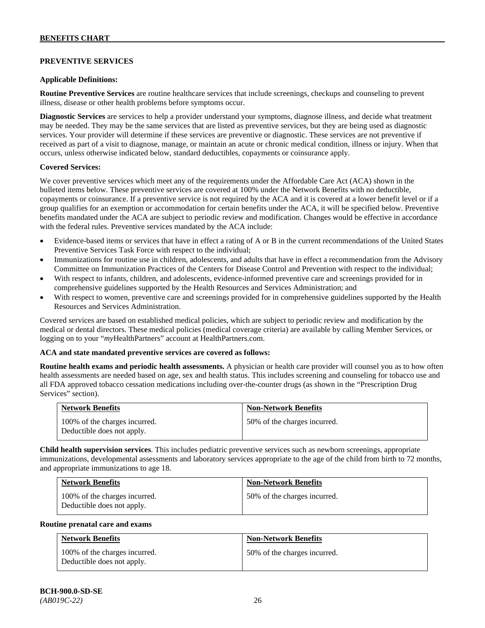## **PREVENTIVE SERVICES**

#### **Applicable Definitions:**

**Routine Preventive Services** are routine healthcare services that include screenings, checkups and counseling to prevent illness, disease or other health problems before symptoms occur.

**Diagnostic Services** are services to help a provider understand your symptoms, diagnose illness, and decide what treatment may be needed. They may be the same services that are listed as preventive services, but they are being used as diagnostic services. Your provider will determine if these services are preventive or diagnostic. These services are not preventive if received as part of a visit to diagnose, manage, or maintain an acute or chronic medical condition, illness or injury. When that occurs, unless otherwise indicated below, standard deductibles, copayments or coinsurance apply.

#### **Covered Services:**

We cover preventive services which meet any of the requirements under the Affordable Care Act (ACA) shown in the bulleted items below. These preventive services are covered at 100% under the Network Benefits with no deductible, copayments or coinsurance. If a preventive service is not required by the ACA and it is covered at a lower benefit level or if a group qualifies for an exemption or accommodation for certain benefits under the ACA, it will be specified below. Preventive benefits mandated under the ACA are subject to periodic review and modification. Changes would be effective in accordance with the federal rules. Preventive services mandated by the ACA include:

- Evidence-based items or services that have in effect a rating of A or B in the current recommendations of the United States Preventive Services Task Force with respect to the individual;
- Immunizations for routine use in children, adolescents, and adults that have in effect a recommendation from the Advisory Committee on Immunization Practices of the Centers for Disease Control and Prevention with respect to the individual;
- With respect to infants, children, and adolescents, evidence-informed preventive care and screenings provided for in comprehensive guidelines supported by the Health Resources and Services Administration; and
- With respect to women, preventive care and screenings provided for in comprehensive guidelines supported by the Health Resources and Services Administration.

Covered services are based on established medical policies, which are subject to periodic review and modification by the medical or dental directors. These medical policies (medical coverage criteria) are available by calling Member Services, or logging on to your "*my*HealthPartners" account at [HealthPartners.com.](http://www.healthpartners.com/)

#### **ACA and state mandated preventive services are covered as follows:**

**Routine health exams and periodic health assessments.** A physician or health care provider will counsel you as to how often health assessments are needed based on age, sex and health status. This includes screening and counseling for tobacco use and all FDA approved tobacco cessation medications including over-the-counter drugs (as shown in the "Prescription Drug Services" section).

| <b>Network Benefits</b>                                     | <b>Non-Network Benefits</b>  |
|-------------------------------------------------------------|------------------------------|
| 100% of the charges incurred.<br>Deductible does not apply. | 50% of the charges incurred. |

**Child health supervision services**. This includes pediatric preventive services such as newborn screenings, appropriate immunizations, developmental assessments and laboratory services appropriate to the age of the child from birth to 72 months, and appropriate immunizations to age 18.

| <b>Network Benefits</b>                                     | <b>Non-Network Benefits</b>  |
|-------------------------------------------------------------|------------------------------|
| 100% of the charges incurred.<br>Deductible does not apply. | 50% of the charges incurred. |

#### **Routine prenatal care and exams**

| <b>Network Benefits</b>                                     | <b>Non-Network Benefits</b>  |
|-------------------------------------------------------------|------------------------------|
| 100% of the charges incurred.<br>Deductible does not apply. | 50% of the charges incurred. |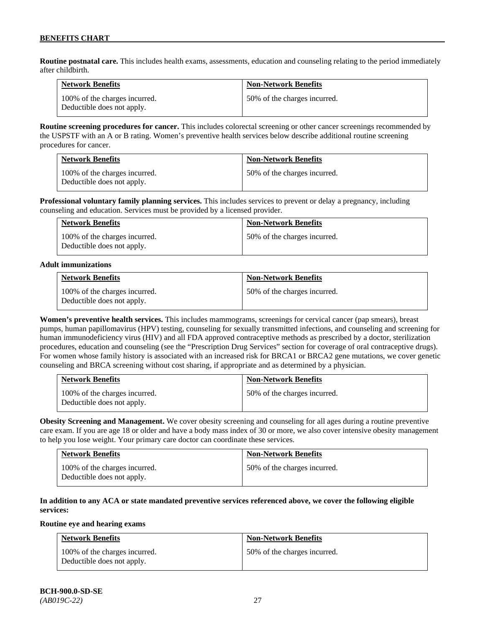**Routine postnatal care.** This includes health exams, assessments, education and counseling relating to the period immediately after childbirth.

| <b>Network Benefits</b>                                     | <b>Non-Network Benefits</b>  |
|-------------------------------------------------------------|------------------------------|
| 100% of the charges incurred.<br>Deductible does not apply. | 50% of the charges incurred. |

**Routine screening procedures for cancer.** This includes colorectal screening or other cancer screenings recommended by the USPSTF with an A or B rating. Women's preventive health services below describe additional routine screening procedures for cancer.

| <b>Network Benefits</b>                                     | <b>Non-Network Benefits</b>  |
|-------------------------------------------------------------|------------------------------|
| 100% of the charges incurred.<br>Deductible does not apply. | 50% of the charges incurred. |

**Professional voluntary family planning services.** This includes services to prevent or delay a pregnancy, including counseling and education. Services must be provided by a licensed provider.

| <b>Network Benefits</b>                                     | <b>Non-Network Benefits</b>  |
|-------------------------------------------------------------|------------------------------|
| 100% of the charges incurred.<br>Deductible does not apply. | 50% of the charges incurred. |

#### **Adult immunizations**

| <b>Network Benefits</b>                                     | <b>Non-Network Benefits</b>  |
|-------------------------------------------------------------|------------------------------|
| 100% of the charges incurred.<br>Deductible does not apply. | 50% of the charges incurred. |

**Women's preventive health services.** This includes mammograms, screenings for cervical cancer (pap smears), breast pumps, human papillomavirus (HPV) testing, counseling for sexually transmitted infections, and counseling and screening for human immunodeficiency virus (HIV) and all FDA approved contraceptive methods as prescribed by a doctor, sterilization procedures, education and counseling (see the "Prescription Drug Services" section for coverage of oral contraceptive drugs). For women whose family history is associated with an increased risk for BRCA1 or BRCA2 gene mutations, we cover genetic counseling and BRCA screening without cost sharing, if appropriate and as determined by a physician.

| <b>Network Benefits</b>                                     | <b>Non-Network Benefits</b>  |
|-------------------------------------------------------------|------------------------------|
| 100% of the charges incurred.<br>Deductible does not apply. | 50% of the charges incurred. |

**Obesity Screening and Management.** We cover obesity screening and counseling for all ages during a routine preventive care exam. If you are age 18 or older and have a body mass index of 30 or more, we also cover intensive obesity management to help you lose weight. Your primary care doctor can coordinate these services.

| <b>Network Benefits</b>                                     | <b>Non-Network Benefits</b>  |
|-------------------------------------------------------------|------------------------------|
| 100% of the charges incurred.<br>Deductible does not apply. | 50% of the charges incurred. |

## **In addition to any ACA or state mandated preventive services referenced above, we cover the following eligible services:**

#### **Routine eye and hearing exams**

| <b>Network Benefits</b>                                     | <b>Non-Network Benefits</b>  |
|-------------------------------------------------------------|------------------------------|
| 100% of the charges incurred.<br>Deductible does not apply. | 50% of the charges incurred. |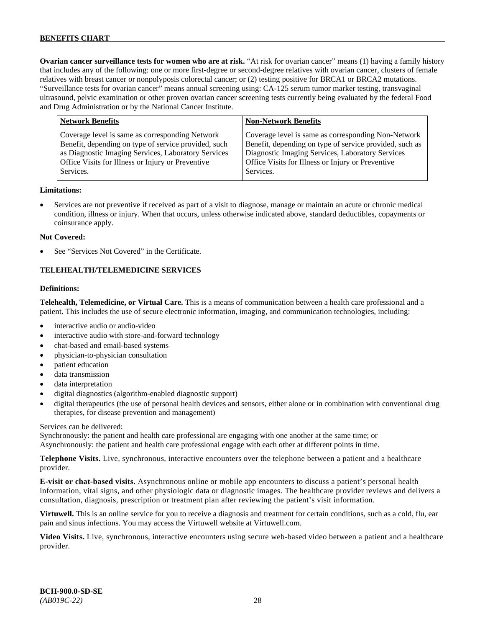**Ovarian cancer surveillance tests for women who are at risk.** "At risk for ovarian cancer" means (1) having a family history that includes any of the following: one or more first-degree or second-degree relatives with ovarian cancer, clusters of female relatives with breast cancer or nonpolyposis colorectal cancer; or (2) testing positive for BRCA1 or BRCA2 mutations. "Surveillance tests for ovarian cancer" means annual screening using: CA-125 serum tumor marker testing, transvaginal ultrasound, pelvic examination or other proven ovarian cancer screening tests currently being evaluated by the federal Food and Drug Administration or by the National Cancer Institute.

| <b>Network Benefits</b>                                                                                                                                                                                                          | <b>Non-Network Benefits</b>                                                                                                                                                                                                          |
|----------------------------------------------------------------------------------------------------------------------------------------------------------------------------------------------------------------------------------|--------------------------------------------------------------------------------------------------------------------------------------------------------------------------------------------------------------------------------------|
| Coverage level is same as corresponding Network<br>Benefit, depending on type of service provided, such<br>as Diagnostic Imaging Services, Laboratory Services<br>Office Visits for Illness or Injury or Preventive<br>Services. | Coverage level is same as corresponding Non-Network<br>Benefit, depending on type of service provided, such as<br>Diagnostic Imaging Services, Laboratory Services<br>Office Visits for Illness or Injury or Preventive<br>Services. |
|                                                                                                                                                                                                                                  |                                                                                                                                                                                                                                      |

#### **Limitations:**

• Services are not preventive if received as part of a visit to diagnose, manage or maintain an acute or chronic medical condition, illness or injury. When that occurs, unless otherwise indicated above, standard deductibles, copayments or coinsurance apply.

#### **Not Covered:**

See "Services Not Covered" in the Certificate.

#### **TELEHEALTH/TELEMEDICINE SERVICES**

#### **Definitions:**

**Telehealth, Telemedicine, or Virtual Care.** This is a means of communication between a health care professional and a patient. This includes the use of secure electronic information, imaging, and communication technologies, including:

- interactive audio or audio-video
- interactive audio with store-and-forward technology
- chat-based and email-based systems
- physician-to-physician consultation
- patient education
- data transmission
- data interpretation
- digital diagnostics (algorithm-enabled diagnostic support)
- digital therapeutics (the use of personal health devices and sensors, either alone or in combination with conventional drug therapies, for disease prevention and management)

#### Services can be delivered:

Synchronously: the patient and health care professional are engaging with one another at the same time; or Asynchronously: the patient and health care professional engage with each other at different points in time.

**Telephone Visits.** Live, synchronous, interactive encounters over the telephone between a patient and a healthcare provider.

**E-visit or chat-based visits.** Asynchronous online or mobile app encounters to discuss a patient's personal health information, vital signs, and other physiologic data or diagnostic images. The healthcare provider reviews and delivers a consultation, diagnosis, prescription or treatment plan after reviewing the patient's visit information.

**Virtuwell.** This is an online service for you to receive a diagnosis and treatment for certain conditions, such as a cold, flu, ear pain and sinus infections. You may access the Virtuwell website at [Virtuwell.com.](https://www.virtuwell.com/)

**Video Visits.** Live, synchronous, interactive encounters using secure web-based video between a patient and a healthcare provider.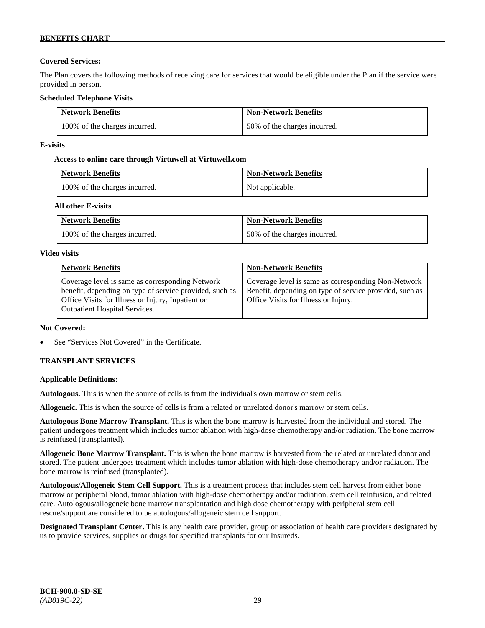## **Covered Services:**

The Plan covers the following methods of receiving care for services that would be eligible under the Plan if the service were provided in person.

## **Scheduled Telephone Visits**

| <b>Network Benefits</b>       | <b>Non-Network Benefits</b>  |
|-------------------------------|------------------------------|
| 100% of the charges incurred. | 50% of the charges incurred. |

## **E-visits**

## **Access to online care through Virtuwell at [Virtuwell.com](http://www.virtuwell.com/)**

| <b>Network Benefits</b>       | <b>Non-Network Benefits</b> |
|-------------------------------|-----------------------------|
| 100% of the charges incurred. | Not applicable.             |

## **All other E-visits**

| <b>Network Benefits</b>       | <b>Non-Network Benefits</b>  |
|-------------------------------|------------------------------|
| 100% of the charges incurred. | 50% of the charges incurred. |

## **Video visits**

| <b>Network Benefits</b>                                                                                                                                                                                 | <b>Non-Network Benefits</b>                                                                                                                            |
|---------------------------------------------------------------------------------------------------------------------------------------------------------------------------------------------------------|--------------------------------------------------------------------------------------------------------------------------------------------------------|
| Coverage level is same as corresponding Network<br>benefit, depending on type of service provided, such as<br>Office Visits for Illness or Injury, Inpatient or<br><b>Outpatient Hospital Services.</b> | Coverage level is same as corresponding Non-Network<br>Benefit, depending on type of service provided, such as<br>Office Visits for Illness or Injury. |

## **Not Covered:**

See "Services Not Covered" in the Certificate.

## **TRANSPLANT SERVICES**

## **Applicable Definitions:**

**Autologous.** This is when the source of cells is from the individual's own marrow or stem cells.

**Allogeneic.** This is when the source of cells is from a related or unrelated donor's marrow or stem cells.

**Autologous Bone Marrow Transplant.** This is when the bone marrow is harvested from the individual and stored. The patient undergoes treatment which includes tumor ablation with high-dose chemotherapy and/or radiation. The bone marrow is reinfused (transplanted).

**Allogeneic Bone Marrow Transplant.** This is when the bone marrow is harvested from the related or unrelated donor and stored. The patient undergoes treatment which includes tumor ablation with high-dose chemotherapy and/or radiation. The bone marrow is reinfused (transplanted).

**Autologous/Allogeneic Stem Cell Support.** This is a treatment process that includes stem cell harvest from either bone marrow or peripheral blood, tumor ablation with high-dose chemotherapy and/or radiation, stem cell reinfusion, and related care. Autologous/allogeneic bone marrow transplantation and high dose chemotherapy with peripheral stem cell rescue/support are considered to be autologous/allogeneic stem cell support.

**Designated Transplant Center.** This is any health care provider, group or association of health care providers designated by us to provide services, supplies or drugs for specified transplants for our Insureds.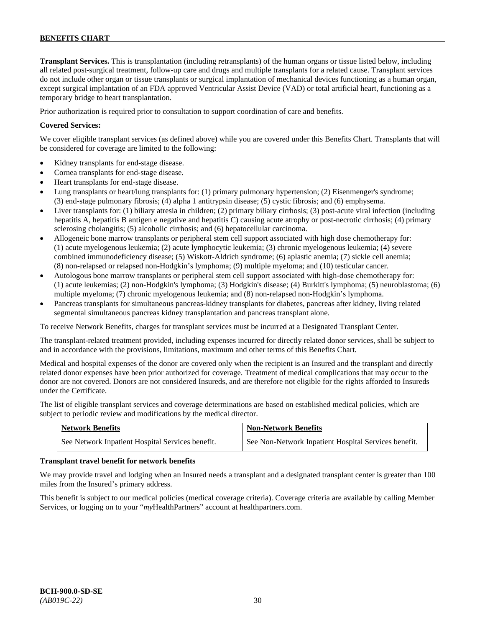**Transplant Services.** This is transplantation (including retransplants) of the human organs or tissue listed below, including all related post-surgical treatment, follow-up care and drugs and multiple transplants for a related cause. Transplant services do not include other organ or tissue transplants or surgical implantation of mechanical devices functioning as a human organ, except surgical implantation of an FDA approved Ventricular Assist Device (VAD) or total artificial heart, functioning as a temporary bridge to heart transplantation.

Prior authorization is required prior to consultation to support coordination of care and benefits.

## **Covered Services:**

We cover eligible transplant services (as defined above) while you are covered under this Benefits Chart. Transplants that will be considered for coverage are limited to the following:

- Kidney transplants for end-stage disease.
- Cornea transplants for end-stage disease.
- Heart transplants for end-stage disease.
- Lung transplants or heart/lung transplants for: (1) primary pulmonary hypertension; (2) Eisenmenger's syndrome; (3) end-stage pulmonary fibrosis; (4) alpha 1 antitrypsin disease; (5) cystic fibrosis; and (6) emphysema.
- Liver transplants for: (1) biliary atresia in children; (2) primary biliary cirrhosis; (3) post-acute viral infection (including hepatitis A, hepatitis B antigen e negative and hepatitis C) causing acute atrophy or post-necrotic cirrhosis; (4) primary sclerosing cholangitis; (5) alcoholic cirrhosis; and (6) hepatocellular carcinoma.
- Allogeneic bone marrow transplants or peripheral stem cell support associated with high dose chemotherapy for: (1) acute myelogenous leukemia; (2) acute lymphocytic leukemia; (3) chronic myelogenous leukemia; (4) severe combined immunodeficiency disease; (5) Wiskott-Aldrich syndrome; (6) aplastic anemia; (7) sickle cell anemia; (8) non-relapsed or relapsed non-Hodgkin's lymphoma; (9) multiple myeloma; and (10) testicular cancer.
- Autologous bone marrow transplants or peripheral stem cell support associated with high-dose chemotherapy for: (1) acute leukemias; (2) non-Hodgkin's lymphoma; (3) Hodgkin's disease; (4) Burkitt's lymphoma; (5) neuroblastoma; (6) multiple myeloma; (7) chronic myelogenous leukemia; and (8) non-relapsed non-Hodgkin's lymphoma.
- Pancreas transplants for simultaneous pancreas-kidney transplants for diabetes, pancreas after kidney, living related segmental simultaneous pancreas kidney transplantation and pancreas transplant alone.

To receive Network Benefits, charges for transplant services must be incurred at a Designated Transplant Center.

The transplant-related treatment provided, including expenses incurred for directly related donor services, shall be subject to and in accordance with the provisions, limitations, maximum and other terms of this Benefits Chart.

Medical and hospital expenses of the donor are covered only when the recipient is an Insured and the transplant and directly related donor expenses have been prior authorized for coverage. Treatment of medical complications that may occur to the donor are not covered. Donors are not considered Insureds, and are therefore not eligible for the rights afforded to Insureds under the Certificate.

The list of eligible transplant services and coverage determinations are based on established medical policies, which are subject to periodic review and modifications by the medical director.

| <b>Network Benefits</b>                          | <b>Non-Network Benefits</b>                          |
|--------------------------------------------------|------------------------------------------------------|
| See Network Inpatient Hospital Services benefit. | See Non-Network Inpatient Hospital Services benefit. |

#### **Transplant travel benefit for network benefits**

We may provide travel and lodging when an Insured needs a transplant and a designated transplant center is greater than 100 miles from the Insured's primary address.

This benefit is subject to our medical policies (medical coverage criteria). Coverage criteria are available by calling Member Services, or logging on to your "*my*HealthPartners" account a[t healthpartners.com.](http://www.healthpartners.com/)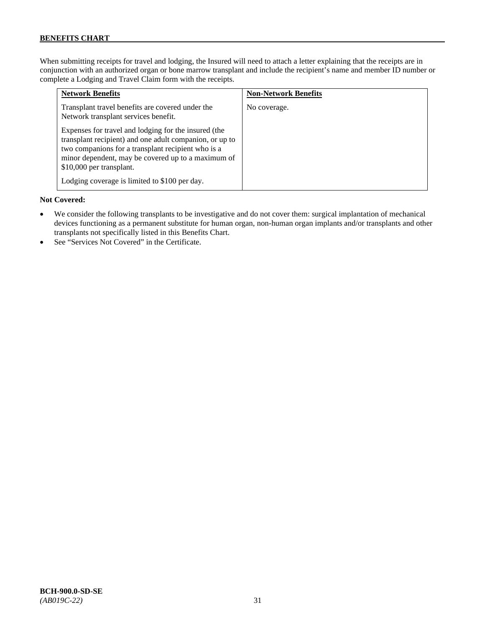When submitting receipts for travel and lodging, the Insured will need to attach a letter explaining that the receipts are in conjunction with an authorized organ or bone marrow transplant and include the recipient's name and member ID number or complete a Lodging and Travel Claim form with the receipts.

| <b>Network Benefits</b>                                                                                                                                                                                                                                 | <b>Non-Network Benefits</b> |
|---------------------------------------------------------------------------------------------------------------------------------------------------------------------------------------------------------------------------------------------------------|-----------------------------|
| Transplant travel benefits are covered under the<br>Network transplant services benefit.                                                                                                                                                                | No coverage.                |
| Expenses for travel and lodging for the insured (the<br>transplant recipient) and one adult companion, or up to<br>two companions for a transplant recipient who is a<br>minor dependent, may be covered up to a maximum of<br>\$10,000 per transplant. |                             |
| Lodging coverage is limited to \$100 per day.                                                                                                                                                                                                           |                             |

#### **Not Covered:**

- We consider the following transplants to be investigative and do not cover them: surgical implantation of mechanical devices functioning as a permanent substitute for human organ, non-human organ implants and/or transplants and other transplants not specifically listed in this Benefits Chart.
- See "Services Not Covered" in the Certificate.